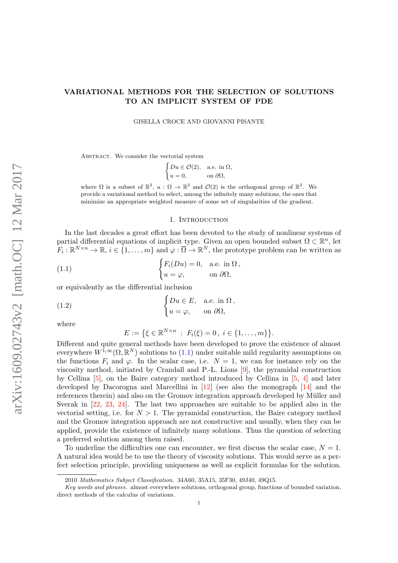# <span id="page-0-1"></span>VARIATIONAL METHODS FOR THE SELECTION OF SOLUTIONS TO AN IMPLICIT SYSTEM OF PDE

GISELLA CROCE AND GIOVANNI PISANTE

ABSTRACT. We consider the vectorial system

$$
\begin{cases} Du \in \mathcal{O}(2), & \text{a.e. in } \Omega, \\ u = 0, & \text{on } \partial\Omega, \end{cases}
$$

where  $\Omega$  is a subset of  $\mathbb{R}^2$ ,  $u : \Omega \to \mathbb{R}^2$  and  $\mathcal{O}(2)$  is the orthogonal group of  $\mathbb{R}^2$ . We provide a variational method to select, among the infinitely many solutions, the ones that minimize an appropriate weighted measure of some set of singularities of the gradient.

### <span id="page-0-0"></span>1. INTRODUCTION

In the last decades a great effort has been devoted to the study of nonlinear systems of partial differential equations of implicit type. Given an open bounded subset  $\Omega \subset \mathbb{R}^n$ , let  $F_i: \mathbb{R}^{N \times n} \to \mathbb{R}, i \in \{1, \ldots, m\}$  and  $\varphi: \overline{\Omega} \to \mathbb{R}^N$ , the prototype problem can be written as

(1.1) 
$$
\begin{cases} F_i(Du) = 0, & \text{a.e. in } \Omega, \\ u = \varphi, & \text{on } \partial\Omega, \end{cases}
$$

or equivalently as the differential inclusion

(1.2) 
$$
\begin{cases} Du \in E, & \text{a.e. in } \Omega, \\ u = \varphi, & \text{on } \partial\Omega, \end{cases}
$$

where

$$
E := \{ \xi \in \mathbb{R}^{N \times n} : F_i(\xi) = 0, i \in \{1, ..., m\} \}.
$$

Different and quite general methods have been developed to prove the existence of almost everywhere  $W^{\tilde{1},\infty}(\Omega,\mathbb{R}^N)$  solutions to  $(1.1)$  under suitable mild regularity assumptions on the functions  $F_i$  and  $\varphi$ . In the scalar case, i.e.  $N = 1$ , we can for instance rely on the viscosity method, initiated by Crandall and P.-L. Lions [\[9\]](#page-27-0), the pyramidal construction by Cellina [\[5\]](#page-27-1), on the Baire category method introduced by Cellina in [\[5,](#page-27-1) [4\]](#page-27-2) and later developed by Dacorogna and Marcellini in [\[12\]](#page-27-3) (see also the monograph [\[14\]](#page-27-4) and the references therein) and also on the Gromov integration approach developed by Müller and Sverak in [\[22,](#page-27-5) [23,](#page-27-6) [24\]](#page-27-7). The last two approaches are suitable to be applied also in the vectorial setting, i.e. for  $N > 1$ . The pyramidal construction, the Baire category method and the Gromov integration approach are not constructive and usually, when they can be applied, provide the existence of infinitely many solutions. Thus the question of selecting a preferred solution among them raised.

To underline the difficulties one can encounter, we first discuss the scalar case,  $N = 1$ . A natural idea would be to use the theory of viscosity solutions. This would serve as a perfect selection principle, providing uniqueness as well as explicit formulas for the solution.

<sup>2010</sup> Mathematics Subject Classification. 34A60, 35A15, 35F30, 49J40, 49Q15.

Key words and phrases. almost everywhere solutions, orthogonal group, functions of bounded variation, direct methods of the calculus of variations.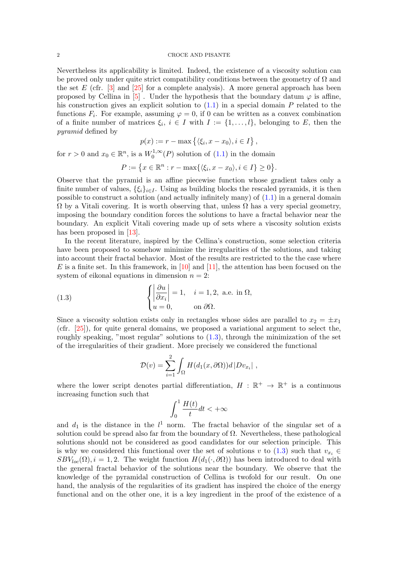#### <span id="page-1-1"></span>2 CROCE AND PISANTE

Nevertheless its applicability is limited. Indeed, the existence of a viscosity solution can be proved only under quite strict compatibility conditions between the geometry of  $\Omega$  and the set E (cfr.  $\lceil 3 \rceil$  and  $\lceil 25 \rceil$  for a complete analysis). A more general approach has been proposed by Cellina in [\[5\]](#page-27-1). Under the hypothesis that the boundary datum  $\varphi$  is affine, his construction gives an explicit solution to  $(1.1)$  in a special domain P related to the functions  $F_i$ . For example, assuming  $\varphi = 0$ , if 0 can be written as a convex combination of a finite number of matrices  $\xi_i, i \in I$  with  $I := \{1, \ldots, l\}$ , belonging to E, then the pyramid defined by

$$
p(x) := r - \max\left\{ \langle \xi_i, x - x_0 \rangle, i \in I \right\},\
$$

for  $r > 0$  and  $x_0 \in \mathbb{R}^n$ , is a  $W_0^{1,\infty}$  $0^{1,\infty}(P)$  solution of  $(1.1)$  in the domain

$$
P := \{ x \in \mathbb{R}^n : r - \max\{ \langle \xi_i, x - x_0 \rangle, i \in I \} \ge 0 \}.
$$

Observe that the pyramid is an affine piecewise function whose gradient takes only a finite number of values,  $\{\xi_i\}_{i\in I}$ . Using as building blocks the rescaled pyramids, it is then possible to construct a solution (and actually infinitely many) of [\(1.1\)](#page-0-0) in a general domain  $\Omega$  by a Vitali covering. It is worth observing that, unless  $\Omega$  has a very special geometry, imposing the boundary condition forces the solutions to have a fractal behavior near the boundary. An explicit Vitali covering made up of sets where a viscosity solution exists has been proposed in [\[13\]](#page-27-10).

In the recent literature, inspired by the Cellina's construction, some selection criteria have been proposed to somehow minimize the irregularities of the solutions, and taking into account their fractal behavior. Most of the results are restricted to the the case where E is a finite set. In this framework, in [\[10\]](#page-27-11) and [\[11\]](#page-27-12), the attention has been focused on the system of eikonal equations in dimension  $n = 2$ :

(1.3) 
$$
\begin{cases} \left| \frac{\partial u}{\partial x_i} \right| = 1, & i = 1, 2, \text{ a.e. in } \Omega, \\ u = 0, & \text{on } \partial \Omega. \end{cases}
$$

Since a viscosity solution exists only in rectangles whose sides are parallel to  $x_2 = \pm x_1$ (cfr. [\[25\]](#page-27-9)), for quite general domains, we proposed a variational argument to select the, roughly speaking, "most regular" solutions to  $(1.3)$ , through the minimization of the set of the irregularities of their gradient. More precisely we considered the functional

<span id="page-1-0"></span>
$$
\mathcal{D}(v) = \sum_{i=1}^{2} \int_{\Omega} H(d_1(x, \partial \Omega)) d |Dv_{x_i}|,
$$

where the lower script denotes partial differentiation,  $H : \mathbb{R}^+ \to \mathbb{R}^+$  is a continuous increasing function such that

$$
\int_0^1 \frac{H(t)}{t} dt < +\infty
$$

and  $d_1$  is the distance in the  $l^1$  norm. The fractal behavior of the singular set of a solution could be spread also far from the boundary of  $\Omega$ . Nevertheless, these pathological solutions should not be considered as good candidates for our selection principle. This is why we considered this functional over the set of solutions v to [\(1.3\)](#page-1-0) such that  $v_{x_i} \in$  $SBV_{loc}(\Omega)$ ,  $i = 1, 2$ . The weight function  $H(d_1(\cdot, \partial \Omega))$  has been introduced to deal with the general fractal behavior of the solutions near the boundary. We observe that the knowledge of the pyramidal construction of Cellina is twofold for our result. On one hand, the analysis of the regularities of its gradient has inspired the choice of the energy functional and on the other one, it is a key ingredient in the proof of the existence of a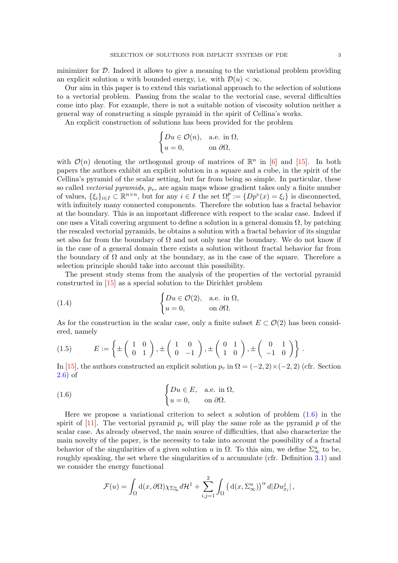<span id="page-2-3"></span>minimizer for  $\mathcal{D}$ . Indeed it allows to give a meaning to the variational problem providing an explicit solution u with bounded energy, i.e. with  $\mathcal{D}(u) < \infty$ .

Our aim in this paper is to extend this variational approach to the selection of solutions to a vectorial problem. Passing from the scalar to the vectorial case, several difficulties come into play. For example, there is not a suitable notion of viscosity solution neither a general way of constructing a simple pyramid in the spirit of Cellina's works.

An explicit construction of solutions has been provided for the problem

$$
\begin{cases} Du \in \mathcal{O}(n), & \text{a.e. in } \Omega, \\ u = 0, & \text{on } \partial\Omega, \end{cases}
$$

with  $\mathcal{O}(n)$  denoting the orthogonal group of matrices of  $\mathbb{R}^n$  in [\[6\]](#page-27-13) and [\[15\]](#page-27-14). In both papers the authors exhibit an explicit solution in a square and a cube, in the spirit of the Cellina's pyramid of the scalar setting, but far from being so simple. In particular, these so called *vectorial pyramids*,  $p_v$ , are again maps whose gradient takes only a finite number of values,  $\{\xi_i\}_{i\in I} \subset \mathbb{R}^{n\times n}$ , but for any  $i \in I$  the set  $\Omega_i^p := \{Dp^v(x) = \xi_i\}$  is disconnected, with infinitely many connected components. Therefore the solution has a fractal behavior at the boundary. This is an important difference with respect to the scalar case. Indeed if one uses a Vitali covering argument to define a solution in a general domain  $\Omega$ , by patching the rescaled vectorial pyramids, he obtains a solution with a fractal behavior of its singular set also far from the boundary of  $\Omega$  and not only near the boundary. We do not know if in the case of a general domain there exists a solution without fractal behavior far from the boundary of  $\Omega$  and only at the boundary, as in the case of the square. Therefore a selection principle should take into account this possibility.

The present study stems from the analysis of the properties of the vectorial pyramid constructed in [\[15\]](#page-27-14) as a special solution to the Dirichlet problem

<span id="page-2-2"></span>(1.4) 
$$
\begin{cases} Du \in \mathcal{O}(2), & \text{a.e. in } \Omega, \\ u = 0, & \text{on } \partial \Omega. \end{cases}
$$

As for the construction in the scalar case, only a finite subset  $E \subset \mathcal{O}(2)$  has been considered, namely

<span id="page-2-1"></span>
$$
(1.5) \qquad E := \left\{ \pm \left( \begin{array}{cc} 1 & 0 \\ 0 & 1 \end{array} \right), \pm \left( \begin{array}{cc} 1 & 0 \\ 0 & -1 \end{array} \right), \pm \left( \begin{array}{cc} 0 & 1 \\ 1 & 0 \end{array} \right), \pm \left( \begin{array}{cc} 0 & 1 \\ -1 & 0 \end{array} \right) \right\}.
$$

In [\[15\]](#page-27-14), the authors constructed an explicit solution  $p_v$  in  $\Omega = (-2, 2) \times (-2, 2)$  (cfr. Section [2.6\)](#page-7-0) of

(1.6) 
$$
\begin{cases} Du \in E, & \text{a.e. in } \Omega, \\ u = 0, & \text{on } \partial\Omega. \end{cases}
$$

Here we propose a variational criterion to select a solution of problem  $(1.6)$  in the spirit of [\[11\]](#page-27-12). The vectorial pyramid  $p_v$  will play the same role as the pyramid p of the scalar case. As already observed, the main source of difficulties, that also characterize the main novelty of the paper, is the necessity to take into account the possibility of a fractal behavior of the singularities of a given solution u in  $\Omega$ . To this aim, we define  $\Sigma^u_{\infty}$  to be, roughly speaking, the set where the singularities of  $u$  accumulate (cfr. Definition [3.1\)](#page-10-0) and we consider the energy functional

<span id="page-2-0"></span>
$$
\mathcal{F}(u) = \int_{\Omega} d(x, \partial \Omega) \chi_{\Sigma_{\infty}^{u}} d\mathcal{H}^{1} + \sum_{i,j=1}^{2} \int_{\Omega} (d(x, \Sigma_{\infty}^{u}))^{\alpha} d|D u_{x_{i}}^{j}|,
$$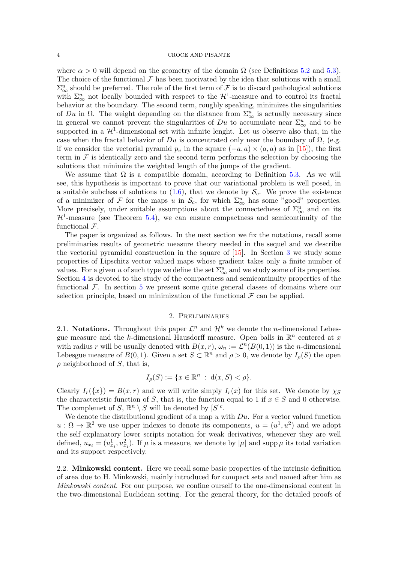<span id="page-3-0"></span>where  $\alpha > 0$  will depend on the geometry of the domain  $\Omega$  (see Definitions [5.2](#page-21-0) and [5.3\)](#page-21-1). The choice of the functional  $\mathcal F$  has been motivated by the idea that solutions with a small  $\Sigma^u_{\infty}$  should be preferred. The role of the first term of  $\mathcal F$  is to discard pathological solutions with  $\Sigma^u_{\infty}$  not locally bounded with respect to the  $\mathcal{H}^1$ -measure and to control its fractal behavior at the boundary. The second term, roughly speaking, minimizes the singularities of Du in  $\Omega$ . The weight depending on the distance from  $\Sigma^u_{\infty}$  is actually necessary since in general we cannot prevent the singularities of  $Du$  to accumulate near  $\Sigma^u_\infty$  and to be supported in a  $\mathcal{H}^1$ -dimensional set with infinite lenght. Let us observe also that, in the case when the fractal behavior of  $Du$  is concentrated only near the boundary of  $\Omega$ , (e.g. if we consider the vectorial pyramid  $p_v$  in the square  $(-a, a) \times (a, a)$  as in [\[15\]](#page-27-14)), the first term in  $\mathcal F$  is identically zero and the second term performs the selection by choosing the solutions that minimize the weighted length of the jumps of the gradient.

We assume that  $\Omega$  is a compatible domain, according to Definition [5.3.](#page-21-1) As we will see, this hypothesis is important to prove that our variational problem is well posed, in a suitable subclass of solutions to  $(1.6)$ , that we denote by  $\mathcal{S}_c$ . We prove the existence of a minimizer of F for the maps u in  $\mathcal{S}_c$ , for which  $\Sigma^u_\infty$  has some "good" properties. More precisely, under suitable assumptions about the connectedness of  $\Sigma^u_\infty$  and on its  $H<sup>1</sup>$ -measure (see Theorem [5.4\)](#page-22-0), we can ensure compactness and semicontinuity of the functional  $\mathcal{F}$ .

The paper is organized as follows. In the next section we fix the notations, recall some preliminaries results of geometric measure theory needed in the sequel and we describe the vectorial pyramidal construction in the square of [\[15\]](#page-27-14). In Section [3](#page-10-1) we study some properties of Lipschitz vector valued maps whose gradient takes only a finite number of values. For a given u of such type we define the set  $\Sigma^u_\infty$  and we study some of its properties. Section [4](#page-14-0) is devoted to the study of the compactness and semicontinuity properties of the functional  $\mathcal{F}$ . In section [5](#page-21-2) we present some quite general classes of domains where our selection principle, based on minimization of the functional  $\mathcal F$  can be applied.

## 2. Preliminaries

2.1. Notations. Throughout this paper  $\mathcal{L}^n$  and  $\mathcal{H}^k$  we denote the *n*-dimensional Lebesgue measure and the k-dimensional Hausdorff measure. Open balls in  $\mathbb{R}^n$  centered at x with radius r will be usually denoted with  $B(x, r)$ ,  $\omega_n := \mathcal{L}^n(B(0, 1))$  is the n-dimensional Lebesgue measure of  $B(0, 1)$ . Given a set  $S \subset \mathbb{R}^n$  and  $\rho > 0$ , we denote by  $I_\rho(S)$  the open  $\rho$  neighborhood of S, that is,

$$
I_{\rho}(S) := \{ x \in \mathbb{R}^n : d(x, S) < \rho \}.
$$

Clearly  $I_r({x}) = B(x,r)$  and we will write simply  $I_r(x)$  for this set. We denote by  $\chi_S$ the characteristic function of S, that is, the function equal to 1 if  $x \in S$  and 0 otherwise. The complemet of S,  $\mathbb{R}^n \setminus S$  will be denoted by  $[S]^c$ .

We denote the distributional gradient of a map u with  $Du$ . For a vector valued function  $u:\Omega\to\mathbb{R}^2$  we use upper indexes to denote its components,  $u=(u^1,u^2)$  and we adopt the self explanatory lower scripts notation for weak derivatives, whenever they are well defined,  $u_{x_i} = (u_{x_i}^1, u_{x_i}^2)$ . If  $\mu$  is a measure, we denote by  $|\mu|$  and supp  $\mu$  its total variation and its support respectively.

2.2. Minkowski content. Here we recall some basic properties of the intrinsic definition of area due to H. Minkowski, mainly introduced for compact sets and named after him as Minkowski content. For our purpose, we confine ourself to the one-dimensional content in the two-dimensional Euclidean setting. For the general theory, for the detailed proofs of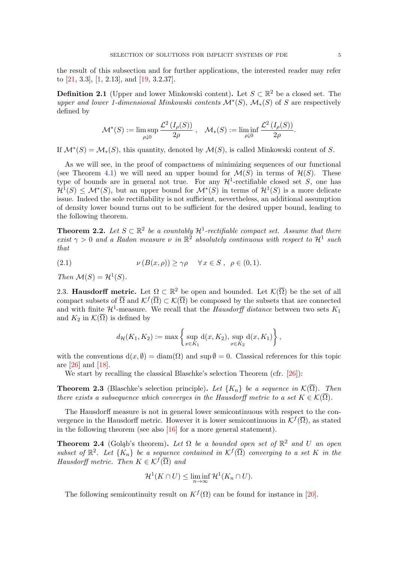<span id="page-4-4"></span>the result of this subsection and for further applications, the interested reader may refer to [\[21,](#page-27-15) 3.3], [\[1,](#page-27-16) 2.13], and [\[19,](#page-27-17) 3.2.37].

**Definition 2.1** (Upper and lower Minkowski content). Let  $S \subset \mathbb{R}^2$  be a closed set. The upper and lower 1-dimensional Minkowski contents  $\mathcal{M}^*(S)$ ,  $\mathcal{M}_*(S)$  of S are respectively defined by

$$
\mathcal{M}^*(S) := \limsup_{\rho \downarrow 0} \frac{\mathcal{L}^2(I_\rho(S))}{2\rho}, \quad \mathcal{M}_*(S) := \liminf_{\rho \downarrow 0} \frac{\mathcal{L}^2(I_\rho(S))}{2\rho}.
$$

If  $\mathcal{M}^*(S) = \mathcal{M}_*(S)$ , this quantity, denoted by  $\mathcal{M}(S)$ , is called Minkowski content of S.

As we will see, in the proof of compactness of minimizing sequences of our functional (see Theorem [4.1\)](#page-15-0) we will need an upper bound for  $\mathcal{M}(S)$  in terms of  $\mathcal{H}(S)$ . These type of bounds are in general not true. For any  $\mathcal{H}^1$ -rectifiable closed set S, one has  $\mathcal{H}^1(S) \leq \mathcal{M}^*(S)$ , but an upper bound for  $\mathcal{M}^*(S)$  in terms of  $\mathcal{H}^1(S)$  is a more delicate issue. Indeed the sole rectifiability is not sufficient, nevertheless, an additional assumption of density lower bound turns out to be sufficient for the desired upper bound, leading to the following theorem.

<span id="page-4-2"></span>**Theorem 2.2.** Let  $S \subset \mathbb{R}^2$  be a countably  $\mathcal{H}^1$ -rectifiable compact set. Assume that there exist  $\gamma > 0$  and a Radon measure  $\nu$  in  $\mathbb{R}^2$  absolutely continuous with respect to  $\mathcal{H}^1$  such that

(2.1) 
$$
\nu(B(x,\rho)) \ge \gamma \rho \quad \forall x \in S, \ \rho \in (0,1).
$$

Then  $\mathcal{M}(S) = \mathcal{H}^1(S)$ .

<span id="page-4-3"></span>2.3. Hausdorff metric. Let  $\Omega \subset \mathbb{R}^2$  be open and bounded. Let  $\mathcal{K}(\overline{\Omega})$  be the set of all compact subsets of  $\overline{\Omega}$  and  $\mathcal{K}^f(\overline{\Omega}) \subset \mathcal{K}(\overline{\Omega})$  be composed by the subsets that are connected and with finite  $\mathcal{H}^1$ -measure. We recall that the *Hausdorff distance* between two sets  $K_1$ and  $K_2$  in  $\mathcal{K}(\overline{\Omega})$  is defined by

$$
d_{\mathcal{H}}(K_1, K_2) := \max \left\{ \sup_{x \in K_1} d(x, K_2), \sup_{x \in K_2} d(x, K_1) \right\},\,
$$

with the conventions  $d(x, \emptyset) = diam(\Omega)$  and sup  $\emptyset = 0$ . Classical references for this topic are [\[26\]](#page-28-0) and [\[18\]](#page-27-18).

We start by recalling the classical Blaschke's selection Theorem (cfr. [\[26\]](#page-28-0)):

<span id="page-4-0"></span>**Theorem 2.3** (Blaschke's selection principle). Let  $\{K_n\}$  be a sequence in  $\mathcal{K}(\overline{\Omega})$ . Then there exists a subsequence which converges in the Hausdorff metric to a set  $K \in \mathcal{K}(\overline{\Omega})$ .

The Hausdorff measure is not in general lower semicontinuous with respect to the convergence in the Hausdorff metric. However it is lower semicontinuous in  $\mathcal{K}^f(\overline{\Omega})$ , as stated in the following theorem (see also [\[16\]](#page-27-19) for a more general statement).

<span id="page-4-1"></span>**Theorem 2.4** (Golash's theorem). Let  $\Omega$  be a bounded open set of  $\mathbb{R}^2$  and U an open subset of  $\mathbb{R}^2$ . Let  $\{K_n\}$  be a sequence contained in  $\mathcal{K}^f(\overline{\Omega})$  converging to a set K in the Hausdorff metric. Then  $K \in \mathcal{K}^f(\overline{\Omega})$  and

$$
\mathcal{H}^1(K \cap U) \leq \liminf_{n \to \infty} \mathcal{H}^1(K_n \cap U).
$$

The following semicontinuity result on  $K^f(\Omega)$  can be found for instance in [\[20\]](#page-27-20).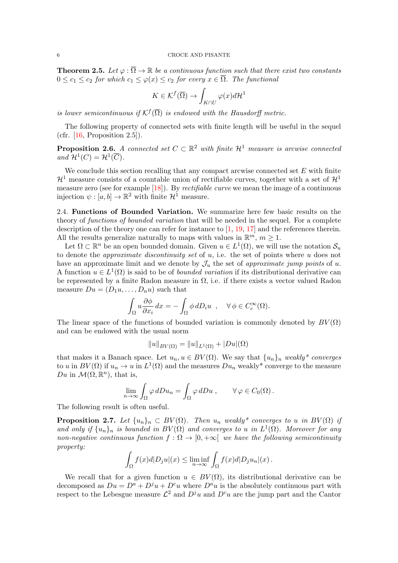### <span id="page-5-3"></span>6 CROCE AND PISANTE

<span id="page-5-1"></span>**Theorem 2.5.** Let  $\varphi : \overline{\Omega} \to \mathbb{R}$  be a continuous function such that there exist two constants  $0 \leq c_1 \leq c_2$  for which  $c_1 \leq \varphi(x) \leq c_2$  for every  $x \in \overline{\Omega}$ . The functional

$$
K \in \mathcal{K}^f(\overline{\Omega}) \to \int_{K \cap U} \varphi(x) d\mathcal{H}^1
$$

is lower semicontinuous if  $\mathcal{K}^f(\overline{\Omega})$  is endowed with the Hausdorff metric.

The following property of connected sets with finite length will be useful in the sequel (cfr.  $[16,$  Proposition 2.5]).

<span id="page-5-0"></span>**Proposition 2.6.** A connected set  $C \subset \mathbb{R}^2$  with finite  $\mathcal{H}^1$  measure is arcwise connected and  $\mathcal{H}^1(C) = \mathcal{H}^1(\overline{C})$ .

We conclude this section recalling that any compact arcwise connected set  $E$  with finite  $\mathcal{H}^1$  measure consists of a countable union of rectifiable curves, together with a set of  $\mathcal{H}^1$ measure zero (see for example [\[18\]](#page-27-18)). By *rectifiable curve* we mean the image of a continuous injection  $\psi : [a, b] \to \mathbb{R}^2$  with finite  $\mathcal{H}^1$  measure.

2.4. Functions of Bounded Variation. We summarize here few basic results on the theory of *functions of bounded variation* that will be needed in the sequel. For a complete description of the theory one can refer for instance to [\[1,](#page-27-16) [19,](#page-27-17) [17\]](#page-27-21) and the references therein. All the results generalize naturally to maps with values in  $\mathbb{R}^m$ ,  $m \geq 1$ .

Let  $\Omega \subset \mathbb{R}^n$  be an open bounded domain. Given  $u \in L^1(\Omega)$ , we will use the notation  $\mathcal{S}_u$ to denote the *approximate discontinuity set* of  $u$ , i.e. the set of points where  $u$  does not have an approximate limit and we denote by  $\mathcal{J}_u$  the set of approximate jump points of u. A function  $u \in L^1(\Omega)$  is said to be of *bounded variation* if its distributional derivative can be represented by a finite Radon measure in  $\Omega$ , i.e. if there exists a vector valued Radon measure  $Du = (D_1u, \ldots, D_nu)$  such that

$$
\int_{\Omega} u \frac{\partial \phi}{\partial x_i} dx = - \int_{\Omega} \phi \, dD_i u \ , \quad \forall \phi \in C_c^{\infty}(\Omega).
$$

The linear space of the functions of bounded variation is commonly denoted by  $BV(\Omega)$ and can be endowed with the usual norm

$$
||u||_{BV(\Omega)} = ||u||_{L^1(\Omega)} + |Du|(\Omega)
$$

that makes it a Banach space. Let  $u_n, u \in BV(\Omega)$ . We say that  $\{u_n\}_n$  weakly\* converges to u in  $BV(\Omega)$  if  $u_n \to u$  in  $L^1(\Omega)$  and the measures  $Du_n$  weakly\* converge to the measure Du in  $\mathcal{M}(\Omega, \mathbb{R}^n)$ , that is,

$$
\lim_{n \to \infty} \int_{\Omega} \varphi \, dDu_n = \int_{\Omega} \varphi \, dDu \;, \qquad \forall \varphi \in C_0(\Omega) \,.
$$

The following result is often useful.

<span id="page-5-2"></span>**Proposition 2.7.** Let  $\{u_n\}_n \subset BV(\Omega)$ . Then  $u_n$  weakly\* converges to u in  $BV(\Omega)$  if and only if  $\{u_n\}_n$  is bounded in  $BV(\Omega)$  and converges to u in  $L^1(\Omega)$ . Moreover for any non-negative continuous function  $f : \Omega \to [0, +\infty[$  we have the following semicontinuity property:

$$
\int_{\Omega} f(x)d|D_j u|(x) \leq \liminf_{n \to \infty} \int_{\Omega} f(x)d|D_j u_n|(x).
$$

We recall that for a given function  $u \in BV(\Omega)$ , its distributional derivative can be decomposed as  $Du = D^a + D^j u + D^c u$  where  $D^a u$  is the absolutely continuous part with respect to the Lebesgue measure  $\mathcal{L}^2$  and  $D^j u$  and  $D^c u$  are the jump part and the Cantor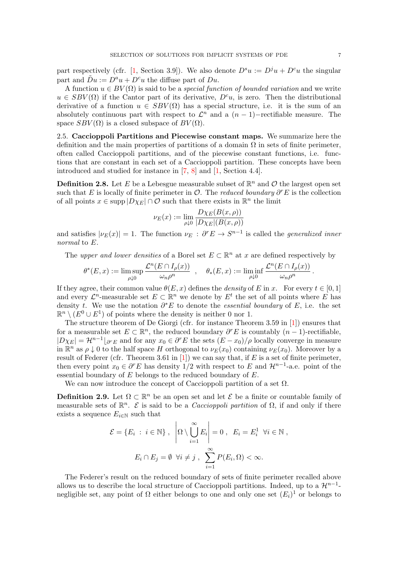<span id="page-6-0"></span>part respectively (cfr. [\[1,](#page-27-16) Section 3.9]). We also denote  $D^s u := D^j u + D^c u$  the singular part and  $\overline{D}u := D^a u + D^c u$  the diffuse part of  $D u$ .

A function  $u \in BV(\Omega)$  is said to be a *special function of bounded variation* and we write  $u \in SBV(\Omega)$  if the Cantor part of its derivative,  $D^c u$ , is zero. Then the distributional derivative of a function  $u \in SBV(\Omega)$  has a special structure, i.e. it is the sum of an absolutely continuous part with respect to  $\mathcal{L}^n$  and a  $(n-1)$ -rectifiable measure. The space  $SBV(\Omega)$  is a closed subspace of  $BV(\Omega)$ .

2.5. Caccioppoli Partitions and Piecewise constant maps. We summarize here the definition and the main properties of partitions of a domain  $\Omega$  in sets of finite perimeter, often called Caccioppoli partitions, and of the piecewise constant functions, i.e. functions that are constant in each set of a Caccioppoli partition. These concepts have been introduced and studied for instance in [\[7,](#page-27-22) [8\]](#page-27-23) and [\[1,](#page-27-16) Section 4.4].

**Definition 2.8.** Let E be a Lebesgue measurable subset of  $\mathbb{R}^n$  and O the largest open set such that E is locally of finite perimeter in  $\mathcal{O}$ . The *reduced boundary*  $\partial^r E$  is the collection of all points  $x \in \text{supp } |D\chi_E| \cap \overline{\mathcal{O}}$  such that there exists in  $\mathbb{R}^n$  the limit

$$
\nu_E(x) := \lim_{\rho \downarrow 0} \frac{D\chi_E(B(x,\rho))}{|D\chi_E|(B(x,\rho))}
$$

and satisfies  $|\nu_E(x)| = 1$ . The function  $\nu_E : \partial^r E \to S^{n-1}$  is called the *generalized inner* normal to E.

The upper and lower densities of a Borel set  $E \subset \mathbb{R}^n$  at x are defined respectively by

$$
\theta^*(E,x) := \limsup_{\rho \downarrow 0} \frac{\mathcal{L}^n(E \cap I_\rho(x))}{\omega_n \rho^n} , \quad \theta_*(E,x) := \liminf_{\rho \downarrow 0} \frac{\mathcal{L}^n(E \cap I_\rho(x))}{\omega_n \rho^n} .
$$

If they agree, their common value  $\theta(E, x)$  defines the *density* of E in x. For every  $t \in [0, 1]$ and every  $\mathcal{L}^n$ -measurable set  $E \subset \mathbb{R}^n$  we denote by  $E^t$  the set of all points where E has density t. We use the notation  $\partial^* E$  to denote the *essential boundary* of E, i.e. the set  $\mathbb{R}^n \setminus (E^0 \cup E^1)$  of points where the density is neither 0 nor 1.

The structure theorem of De Giorgi (cfr. for instance Theorem 3.59 in [\[1\]](#page-27-16)) ensures that for a measurable set  $E \subset \mathbb{R}^n$ , the reduced boundary  $\partial^r E$  is countably  $(n-1)$ -rectifiable,  $|D\chi_E| = \mathcal{H}^{n-1}$   $\lfloor \partial^r E \rfloor$  and for any  $x_0 \in \partial^r E$  the sets  $(E - x_0)/\rho$  locally converge in measure in  $\mathbb{R}^n$  as  $\rho \downarrow 0$  to the half space H orthogonal to  $\nu_E(x_0)$  containing  $\nu_E(x_0)$ . Moreover by a result of Federer (cfr. Theorem 3.61 in [\[1\]](#page-27-16)) we can say that, if E is a set of finite perimeter, then every point  $x_0 \in \partial^r E$  has density 1/2 with respect to E and  $\mathcal{H}^{n-1}$ -a.e. point of the essential boundary of  $E$  belongs to the reduced boundary of  $E$ .

We can now introduce the concept of Caccioppoli partition of a set  $\Omega$ .

**Definition 2.9.** Let  $\Omega \subset \mathbb{R}^n$  be an open set and let  $\mathcal{E}$  be a finite or countable family of measurable sets of  $\mathbb{R}^n$ .  $\mathcal E$  is said to be a *Caccioppoli partition* of  $\Omega$ , if and only if there exists a sequence  $E_{i\in\mathbb{N}}$  such that

$$
\mathcal{E} = \{ E_i : i \in \mathbb{N} \}, \quad \left| \Omega \setminus \bigcup_{i=1}^{\infty} E_i \right| = 0, \quad E_i = E_i^1 \quad \forall i \in \mathbb{N},
$$

$$
E_i \cap E_j = \emptyset \quad \forall i \neq j, \quad \sum_{i=1}^{\infty} P(E_i, \Omega) < \infty.
$$

The Federer's result on the reduced boundary of sets of finite perimeter recalled above allows us to describe the local structure of Caccioppoli partitions. Indeed, up to a  $\mathcal{H}^{n-1}$ negligible set, any point of  $\Omega$  either belongs to one and only one set  $(E_i)^1$  or belongs to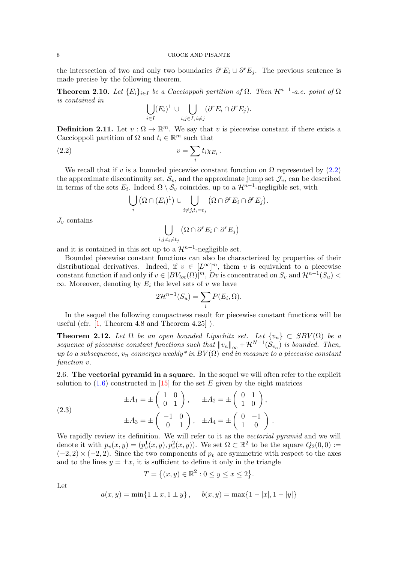<span id="page-7-6"></span>the intersection of two and only two boundaries  $\partial^r E_i \cup \partial^r E_j$ . The previous sentence is made precise by the following theorem.

<span id="page-7-4"></span>**Theorem 2.10.** Let  $\{E_i\}_{i\in I}$  be a Caccioppoli partition of  $\Omega$ . Then  $\mathcal{H}^{n-1}$ -a.e. point of  $\Omega$ is contained in

<span id="page-7-1"></span>
$$
\bigcup_{i\in I} (E_i)^1 \cup \bigcup_{i,j\in I, i\neq j} (\partial^r E_i \cap \partial^r E_j).
$$

<span id="page-7-2"></span>**Definition 2.11.** Let  $v : \Omega \to \mathbb{R}^m$ . We say that v is piecewise constant if there exists a Caccioppoli partition of  $\Omega$  and  $t_i \in \mathbb{R}^m$  such that

$$
(2.2) \t\t v = \sum_{i} t_i \chi_{E_i}.
$$

We recall that if v is a bounded piecewise constant function on  $\Omega$  represented by [\(2.2\)](#page-7-1) the approximate discontinuity set,  $\mathcal{S}_v$ , and the approximate jump set  $\mathcal{J}_v$ , can be described in terms of the sets  $E_i$ . Indeed  $\Omega \setminus \mathcal{S}_v$  coincides, up to a  $\mathcal{H}^{n-1}$ -negligible set, with

$$
\bigcup_i (\Omega \cap (E_i)^1) \cup \bigcup_{i \neq j, t_i = t_j} (\Omega \cap \partial^r E_i \cap \partial^r E_j).
$$

 $J_v$  contains

$$
\bigcup_{i,j:t_i\neq t_j} (\Omega\cap \partial^r E_i\cap \partial^r E_j)
$$

and it is contained in this set up to a  $\mathcal{H}^{n-1}$ -negligible set.

Bounded piecewise constant functions can also be characterized by properties of their distributional derivatives. Indeed, if  $v \in [L^{\infty}]^m$ , them v is equivalent to a piecewise constant function if and only if  $v \in [BV_{loc}(\Omega)]^m$ , Dv is concentrated on  $S_v$  and  $\mathcal{H}^{n-1}(S_u)$  $\infty$ . Moreover, denoting by  $E_i$  the level sets of v we have

$$
2\mathcal{H}^{n-1}(S_u) = \sum_i P(E_i, \Omega).
$$

In the sequel the following compactness result for piecewise constant functions will be useful (cfr. [\[1,](#page-27-16) Theorem 4.8 and Theorem 4.25] ).

<span id="page-7-3"></span>**Theorem 2.12.** Let  $\Omega$  be an open bounded Lipschitz set. Let  $\{v_n\} \subset SBV(\Omega)$  be a sequence of piecewise constant functions such that  $||v_n||_{\infty} + \mathcal{H}^{N-1}(\mathcal{S}_{v_n})$  is bounded. Then, up to a subsequence,  $v_n$  converges weakly<sup>\*</sup> in  $BV(\Omega)$  and in measure to a piecewise constant function  $v$ .

<span id="page-7-0"></span>2.6. The vectorial pyramid in a square. In the sequel we will often refer to the explicit solution to  $(1.6)$  constructed in [\[15\]](#page-27-14) for the set E given by the eight matrices

<span id="page-7-5"></span>
$$
\pm A_1 = \pm \begin{pmatrix} 1 & 0 \\ 0 & 1 \end{pmatrix}, \quad \pm A_2 = \pm \begin{pmatrix} 0 & 1 \\ 1 & 0 \end{pmatrix},
$$

$$
\pm A_3 = \pm \begin{pmatrix} -1 & 0 \\ 0 & 1 \end{pmatrix}, \quad \pm A_4 = \pm \begin{pmatrix} 0 & -1 \\ 1 & 0 \end{pmatrix}.
$$

We rapidly review its definition. We will refer to it as the vectorial pyramid and we will denote it with  $p_v(x, y) = (p_v^1(x, y), p_v^2(x, y))$ . We set  $\Omega \subset \mathbb{R}^2$  to be the square  $Q_2(0, 0) :=$  $(-2, 2) \times (-2, 2)$ . Since the two components of  $p_v$  are symmetric with respect to the axes and to the lines  $y = \pm x$ , it is sufficient to define it only in the triangle

$$
T = \{(x, y) \in \mathbb{R}^2 : 0 \le y \le x \le 2\}.
$$

Let

$$
a(x, y) = min{1 \pm x, 1 \pm y}, \quad b(x, y) = max{1 - |x|, 1 - |y|}
$$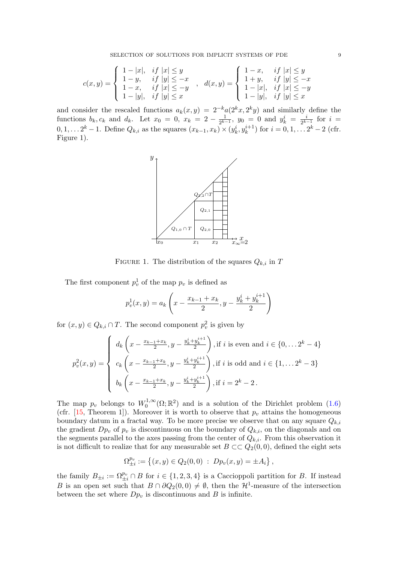<span id="page-8-0"></span>
$$
c(x,y) = \begin{cases} 1-|x|, & if \ |x| \le y \\ 1-y, & if \ |y| \le -x \\ 1-x, & if \ |x| \le -y \\ 1-|y|, & if \ |y| \le x \end{cases}, \quad d(x,y) = \begin{cases} 1-x, & if \ |x| \le y \\ 1+y, & if \ |y| \le -x \\ 1-|x|, & if \ |x| \le -y \\ 1-|y|, & if \ |y| \le x \end{cases}
$$

and consider the rescaled functions  $a_k(x, y) = 2^{-k} a(2^k x, 2^k y)$  and similarly define the functions  $b_k, c_k$  and  $d_k$ . Let  $x_0 = 0, x_k = 2 - \frac{1}{2^{k}}$  $\frac{1}{2^{k-1}}, y_0 = 0$  and  $y_k^i = \frac{i}{2^k}$  $\frac{i}{2^{k-1}}$  for  $i =$  $0, 1, \ldots 2^{k} - 1$ . Define  $Q_{k,i}$  as the squares  $(x_{k-1}, x_{k}) \times (y_{k}^{i}, y_{k}^{i+1})$  for  $i = 0, 1, \ldots 2^{k} - 2$  (cfr. Figure 1).



FIGURE 1. The distribution of the squares  $Q_{k,i}$  in T

The first component  $p_v^1$  of the map  $p_v$  is defined as

$$
p_v^1(x, y) = a_k \left( x - \frac{x_{k-1} + x_k}{2}, y - \frac{y_k^i + y_k^{i+1}}{2} \right)
$$

for  $(x, y) \in Q_{k,i} \cap T$ . The second component  $p_v^2$  is given by

$$
p_v^2(x,y) = \begin{cases} d_k\left(x - \frac{x_{k-1} + x_k}{2}, y - \frac{y_k^i + y_k^{i+1}}{2}\right), \text{if } i \text{ is even and } i \in \{0, \dots 2^k - 4\} \\ c_k\left(x - \frac{x_{k-1} + x_k}{2}, y - \frac{y_k^i + y_k^{i+1}}{2}\right), \text{if } i \text{ is odd and } i \in \{1, \dots 2^k - 3\} \\ b_k\left(x - \frac{x_{k-1} + x_k}{2}, y - \frac{y_k^i + y_k^{i+1}}{2}\right), \text{if } i = 2^k - 2 \,. \end{cases}
$$

The map  $p_v$  belongs to  $W_0^{1,\infty}$  $\mathcal{O}_0^{1,\infty}(\Omega;\mathbb{R}^2)$  and is a solution of the Dirichlet problem  $(1.6)$ (cfr. [\[15,](#page-27-14) Theorem 1]). Moreover it is worth to observe that  $p_v$  attains the homogeneous boundary datum in a fractal way. To be more precise we observe that on any square  $Q_{k,i}$ the gradient  $Dp_v$  of  $p_v$  is discontinuous on the boundary of  $Q_{k,i}$ , on the diagonals and on the segments parallel to the axes passing from the center of  $Q_{k,i}$ . From this observation it is not difficult to realize that for any measurable set  $B \subset\subset Q_2(0,0)$ , defined the eight sets

$$
\Omega_{\pm i}^{p_v} := \left\{ (x, y) \in Q_2(0, 0) \; : \; Dp_v(x, y) = \pm A_i \right\},\,
$$

the family  $B_{\pm i} := \Omega_{\pm i}^{p_v} \cap B$  for  $i \in \{1, 2, 3, 4\}$  is a Caccioppoli partition for B. If instead B is an open set such that  $B \cap \partial Q_2(0,0) \neq \emptyset$ , then the  $\mathcal{H}^1$ -measure of the intersection between the set where  $Dp_v$  is discontinuous and B is infinite.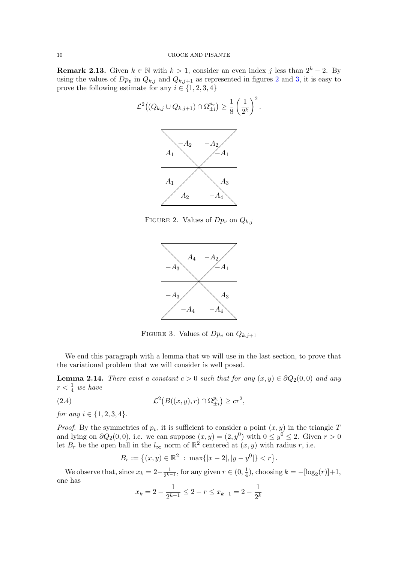<span id="page-9-2"></span>**Remark 2.13.** Given  $k \in \mathbb{N}$  with  $k > 1$ , consider an even index j less than  $2^k - 2$ . By using the values of  $Dp_v$  in  $Q_{k,j}$  and  $Q_{k,j+1}$  as represented in figures [2](#page-9-0) and [3,](#page-9-1) it is easy to prove the following estimate for any  $i \in \{1, 2, 3, 4\}$ 



FIGURE 2. Values of  $Dp_v$  on  $Q_{k,j}$ 

<span id="page-9-0"></span>

<span id="page-9-3"></span><span id="page-9-1"></span>FIGURE 3. Values of  $Dp_v$  on  $Q_{k,j+1}$ 

We end this paragraph with a lemma that we will use in the last section, to prove that the variational problem that we will consider is well posed.

<span id="page-9-4"></span>**Lemma 2.14.** There exist a constant  $c > 0$  such that for any  $(x, y) \in \partial Q_2(0, 0)$  and any  $r < \frac{1}{4}$  we have

(2.4) 
$$
\mathcal{L}^2(B((x,y),r) \cap \Omega_{\pm i}^{p_v}) \geq cr^2,
$$

for any  $i \in \{1, 2, 3, 4\}.$ 

*Proof.* By the symmetries of  $p_v$ , it is sufficient to consider a point  $(x, y)$  in the triangle T and lying on  $\partial Q_2(0,0)$ , i.e. we can suppose  $(x,y) = (2,y^0)$  with  $0 \le y^0 \le 2$ . Given  $r > 0$ let  $B_r$  be the open ball in the  $l_{\infty}$  norm of  $\mathbb{R}^2$  centered at  $(x, y)$  with radius r, i.e.

$$
B_r := \left\{ (x, y) \in \mathbb{R}^2 \; : \; \max\{|x - 2|, |y - y^0|\} < r \right\}.
$$

We observe that, since  $x_k = 2 - \frac{1}{2^{k-1}}$  $\frac{1}{2^{k-1}}$ , for any given  $r \in (0, \frac{1}{4})$  $(\frac{1}{4})$ , choosing  $k = -[\log_2(r)]+1$ , one has

$$
x_k = 2 - \frac{1}{2^{k-1}} \le 2 - r \le x_{k+1} = 2 - \frac{1}{2^k}
$$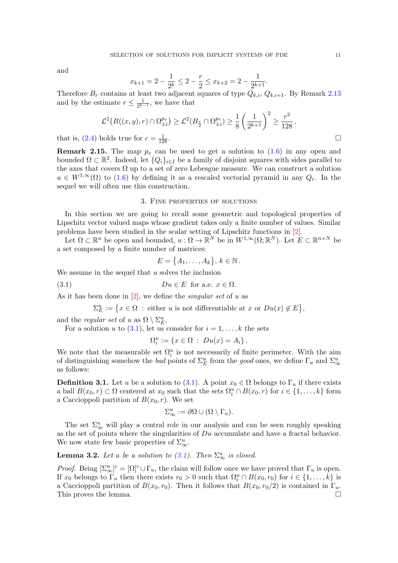<span id="page-10-5"></span>and

$$
x_{k+1} = 2 - \frac{1}{2^k} \le 2 - \frac{r}{2} \le x_{k+2} = 2 - \frac{1}{2^{k+1}}.
$$

Therefore  $B_r$  contains at least two adjacent squares of type  $Q_{k,i}$ ,  $Q_{k,i+1}$ . By Remark [2.13](#page-9-2) and by the estimate  $r \leq \frac{1}{2k^2}$  $\frac{1}{2^{k-1}}$ , we have that

$$
\mathcal{L}^2(B((x,y),r) \cap \Omega_{\pm i}^{p_v}) \geq \mathcal{L}^2(B_{\frac{r}{2}} \cap \Omega_{\pm i}^{p_v}) \geq \frac{1}{8} \left(\frac{1}{2^{k+1}}\right)^2 \geq \frac{r^2}{128},
$$

that is, [\(2.4\)](#page-9-3) holds true for  $c = \frac{1}{12}$  $\frac{1}{128}$ .

<span id="page-10-3"></span>**Remark 2.15.** The map  $p_v$  can be used to get a solution to  $(1.6)$  in any open and bounded  $\Omega \subset \mathbb{R}^2$ . Indeed, let  $\{Q_i\}_{i\in I}$  be a family of disjoint squares with sides parallel to the axes that covers  $\Omega$  up to a set of zero Lebesgue measure. We can construct a solution  $u \in W^{1,\infty}(\Omega)$  to [\(1.6\)](#page-2-0) by defining it as a rescaled vectorial pyramid in any  $Q_i$ . In the sequel we will often use this construction.

# 3. Fine properties of solutions

<span id="page-10-1"></span>In this section we are going to recall some geometric and topological properties of Lipschitz vector valued maps whose gradient takes only a finite number of values. Similar problems have been studied in the scalar setting of Lipschitz functions in [\[2\]](#page-27-24).

Let  $\Omega \subset \mathbb{R}^n$  be open and bounded,  $u : \Omega \to \mathbb{R}^N$  be in  $W^{1,\infty}(\Omega;\mathbb{R}^N)$ . Let  $E \subset \mathbb{R}^{n \times N}$  be a set composed by a finite number of matrices:

<span id="page-10-2"></span>
$$
E = \{A_1, \ldots, A_k\}, k \in \mathbb{N}.
$$

We assume in the sequel that  $u$  solves the inclusion

(3.1) 
$$
Du \in E \text{ for a.e. } x \in \Omega.
$$

As it has been done in  $[2]$ , we define the *singular set* of u as

 $\Sigma_E^u := \{ x \in \Omega \, : \text{ either } u \text{ is not differentiable at } x \text{ or } Du(x) \notin E \},\$ 

and the *regular set* of u as  $\Omega \setminus \Sigma_E^u$ .

For a solution u to  $(3.1)$ , let us consider for  $i = 1, \ldots, k$  the sets

$$
\Omega_i^u := \{ x \in \Omega \; : \; Du(x) = A_i \} \, .
$$

We note that the measurable set  $\Omega_i^u$  is not necessarily of finite perimeter. With the aim of distinguishing somehow the bad points of  $\Sigma_E^u$  from the good ones, we define  $\Gamma_u$  and  $\Sigma_\infty^u$ as follows:

<span id="page-10-0"></span>**Definition 3.1.** Let u be a solution to [\(3.1\)](#page-10-2). A point  $x_0 \in \Omega$  belongs to  $\Gamma_u$  if there exists a ball  $B(x_0, r) \subset \Omega$  centered at  $x_0$  such that the sets  $\Omega_i^u \cap B(x_0, r)$  for  $i \in \{1, ..., k\}$  form a Caccioppoli partition of  $B(x_0, r)$ . We set

$$
\Sigma_\infty^u := \partial\Omega \cup (\Omega \setminus \Gamma_u).
$$

The set  $\Sigma^u_\infty$  will play a central role in our analysis and can be seen roughly speaking as the set of points where the singularities of  $Du$  accumulate and have a fractal behavior. We now state few basic properties of  $\Sigma^u_\infty$ .

<span id="page-10-4"></span>**Lemma 3.2.** Let u be a solution to  $(3.1)$ . Then  $\Sigma^u_{\infty}$  is closed.

*Proof.* Being  $[\Sigma^u_\infty]^c = [\Omega]^c \cup \Gamma_u$ , the claim will follow once we have proved that  $\Gamma_u$  is open. If  $x_0$  belongs to  $\Gamma_u$  then there exists  $r_0 > 0$  such that  $\Omega_i^u \cap B(x_0, r_0)$  for  $i \in \{1, \ldots, k\}$  is a Caccioppoli partition of  $B(x_0, r_0)$ . Then it follows that  $B(x_0, r_0/2)$  is contained in  $\Gamma_u$ . This proves the lemma.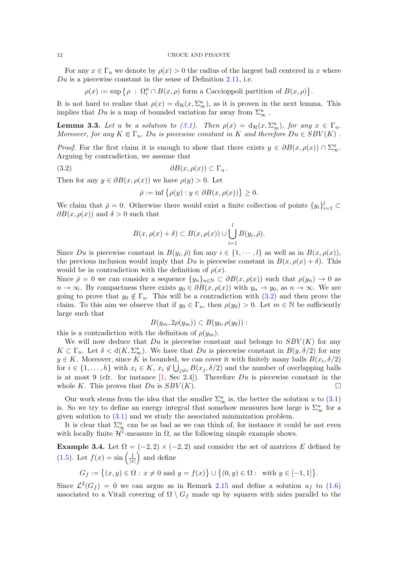#### 12 CROCE AND PISANTE

For any  $x \in \Gamma_u$  we denote by  $\rho(x) > 0$  the radius of the largest ball centered in x where  $Du$  is a piecewise constant in the sense of Definition [2.11,](#page-7-2) i.e.

 $\rho(x) := \sup \{ \rho \, : \, \Omega_i^u \cap B(x, \rho) \text{ form a Caccioppoli partition of } B(x, \rho) \}.$ 

It is not hard to realize that  $\rho(x) = d_{\mathcal{H}}(x, \Sigma_{\infty}^u)$ , as it is proven in the next lemma. This implies that  $Du$  is a map of bounded variation far away from  $\Sigma^u_\infty$ .

<span id="page-11-1"></span>**Lemma 3.3.** Let u be a solution to [\(3.1\)](#page-10-2). Then  $\rho(x) = d_{\mathcal{H}}(x, \Sigma_{\infty}^u)$ , for any  $x \in \Gamma_u$ . Moreover, for any  $K \in \Gamma_u$ , Du is piecewise constant in K and therefore  $Du \in SBV(K)$ .

*Proof.* For the first claim it is enough to show that there exists  $y \in \partial B(x, \rho(x)) \cap \Sigma_{\infty}^u$ . Arguing by contradiction, we assume that

$$
(3.2) \t\t \t\t \partial B(x,\rho(x)) \subset \Gamma_u.
$$

Then for any  $y \in \partial B(x, \rho(x))$  we have  $\rho(y) > 0$ . Let

<span id="page-11-0"></span>
$$
\bar{\rho} := \inf \{ \rho(y) : y \in \partial B(x, \rho(x)) \} \ge 0.
$$

We claim that  $\bar{\rho} = 0$ . Otherwise there would exist a finite collection of points  $\{y_i\}_{i=1}^l \subset$  $\partial B(x, \rho(x))$  and  $\delta > 0$  such that

$$
B(x, \rho(x) + \delta) \subset B(x, \rho(x)) \cup \bigcup_{i=1}^{l} B(y_i, \overline{\rho}).
$$

Since Du is piecewise constant in  $B(y_i, \bar{\rho})$  fon any  $i \in \{1, \dots, l\}$  as well as in  $B(x, \rho(x)),$ the previous inclusion would imply that Du is piecewise constant in  $B(x, \rho(x) + \delta)$ . This would be in contradiction with the definition of  $\rho(x)$ .

Since  $\bar{\rho} = 0$  we can consider a sequence  $\{y_n\}_{n\in\mathbb{N}} \subset \partial B(x, \rho(x))$  such that  $\rho(y_n) \to 0$  as  $n \to \infty$ . By compactness there exists  $y_0 \in \partial B(x, \rho(x))$  with  $y_n \to y_0$ , as  $n \to \infty$ . We are going to prove that  $y_0 \notin \Gamma_u$ . This will be a contradiction with  $(3.2)$  and then prove the claim. To this aim we observe that if  $y_0 \in \Gamma_u$ , then  $\rho(y_0) > 0$ . Let  $m \in \mathbb{N}$  be sufficiently large such that

$$
B(y_m, 2\rho(y_m)) \subset B(y_0, \rho(y_0)) :
$$

this is a contradiction with the definition of  $\rho(y_m)$ .

We will now deduce that  $Du$  is piecewise constant and belongs to  $SBV(K)$  for any  $K \subset \Gamma_u$ . Let  $\delta < d(K, \Sigma_{\infty}^u)$ . We have that  $Du$  is piecewise constant in  $B(y, \delta/2)$  for any  $y \in K$ . Moreover, since K is bounded, we can cover it with finitely many balls  $B(x_i, \delta/2)$ for  $i \in \{1, \ldots, h\}$  with  $x_i \in K$ ,  $x_i \notin \bigcup_{j \neq i} B(x_j, \delta/2)$  and the number of overlapping balls is at most 9 (cfr. for instance  $[1, \text{Sec } 2.4]$ ). Therefore  $Du$  is piecewise constant in the whole K. This proves that  $Du$  is  $SBV(K)$ .

Our work stems from the idea that the smaller  $\Sigma^u_{\infty}$  is, the better the solution u to [\(3.1\)](#page-10-2) is. So we try to define an energy integral that somehow measures how large is  $\Sigma^u_{\infty}$  for a given solution to  $(3.1)$  and we study the associated minimization problem.

It is clear that  $\Sigma^u_\infty$  can be as bad as we can think of, for instance it could be not even with locally finite  $\mathcal{H}^1$ -measure in  $\Omega$ , as the following simple example shows.

Example 3.4. Let  $\Omega = (-2, 2) \times (-2, 2)$  and consider the set of matrices E defined by [\(1.5\)](#page-2-1). Let  $f(x) = \sin \left( \frac{1}{x} \right)$  $\frac{1}{|x|}$  and define

$$
G_f := \big\{ (x,y) \in \Omega : \, x \neq 0 \text{ and } y = f(x) \big\} \cup \big\{ (0,y) \in \Omega : \text{ with } y \in [-1,1] \big\}.
$$

Since  $\mathcal{L}^2(G_f) = 0$  we can argue as in Remark [2.15](#page-10-3) and define a solution  $u_f$  to [\(1.6\)](#page-2-0) associated to a Vitali covering of  $\Omega \setminus G_f$  made up by squares with sides parallel to the

<span id="page-11-2"></span>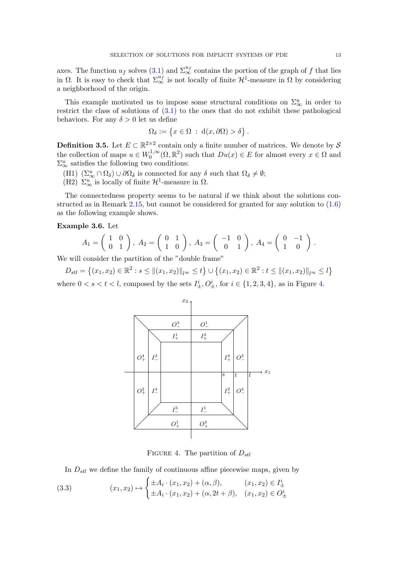axes. The function  $u_f$  solves [\(3.1\)](#page-10-2) and  $\Sigma^{\omega_f}_{\infty}$  contains the portion of the graph of f that lies in  $\Omega$ . It is easy to check that  $\Sigma_{\infty}^{u_f}$  is not locally of finite  $\mathcal{H}^1$ -measure in  $\Omega$  by considering a neighborhood of the origin.

This example motivated us to impose some structural conditions on  $\Sigma^u_\infty$  in order to restrict the class of solutions of [\(3.1\)](#page-10-2) to the ones that do not exhibit these pathological behaviors. For any  $\delta > 0$  let us define

$$
\Omega_{\delta} := \{ x \in \Omega \; : \; d(x, \partial \Omega) > \delta \}.
$$

<span id="page-12-3"></span>**Definition 3.5.** Let  $E \subset \mathbb{R}^{2 \times 2}$  contain only a finite number of matrices. We denote by S the collection of maps  $u \in W_0^{1,\infty}$  $O_0^{1,\infty}(\Omega,\mathbb{R}^2)$  such that  $Du(x) \in E$  for almost every  $x \in \Omega$  and  $\Sigma^u_\infty$  satisfies the following two conditions:

- (H1)  $(\Sigma_\infty^u \cap \Omega_\delta) \cup \partial \Omega_\delta$  is connected for any  $\delta$  such that  $\Omega_\delta \neq \emptyset$ ;
- (H2)  $\Sigma^u_{\infty}$  is locally of finite  $\mathcal{H}^1$ -measure in  $\Omega$ .

The connectedness property seems to be natural if we think about the solutions constructed as in Remark [2.15,](#page-10-3) but cannot be considered for granted for any solution to [\(1.6\)](#page-2-0) as the following example shows.

<span id="page-12-2"></span>Example 3.6. Let

$$
A_1 = \begin{pmatrix} 1 & 0 \\ 0 & 1 \end{pmatrix}, A_2 = \begin{pmatrix} 0 & 1 \\ 1 & 0 \end{pmatrix}, A_3 = \begin{pmatrix} -1 & 0 \\ 0 & 1 \end{pmatrix}, A_4 = \begin{pmatrix} 0 & -1 \\ 1 & 0 \end{pmatrix}.
$$

We will consider the partition of the "double frame"

 $D_{stl} = \{(x_1, x_2) \in \mathbb{R}^2 : s \leq ||(x_1, x_2)||_{l^{\infty}} \leq t\} \cup \{(x_1, x_2) \in \mathbb{R}^2 : t \leq ||(x_1, x_2)||_{l^{\infty}} \leq l\}$ where  $0 < s < t < l$ , composed by the sets  $I^i_{\pm}, O^i_{\pm}$ , for  $i \in \{1, 2, 3, 4\}$ , as in Figure [4.](#page-12-0)



<span id="page-12-0"></span>FIGURE 4. The partition of  $D_{stl}$ 

<span id="page-12-1"></span>In  $D_{stl}$  we define the family of continuous affine piecewise maps, given by

(3.3) 
$$
(x_1, x_2) \mapsto \begin{cases} \pm A_i \cdot (x_1, x_2) + (\alpha, \beta), & (x_1, x_2) \in I_{\pm}^i \\ \pm A_i \cdot (x_1, x_2) + (\alpha, 2t + \beta), & (x_1, x_2) \in O_{\pm}^i \end{cases}
$$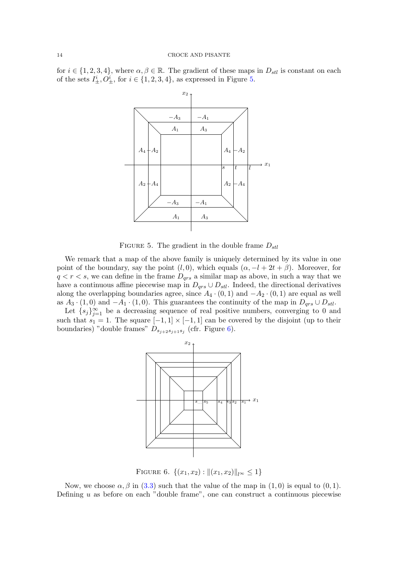for  $i \in \{1, 2, 3, 4\}$ , where  $\alpha, \beta \in \mathbb{R}$ . The gradient of these maps in  $D_{stl}$  is constant on each of the sets  $I^i_{\pm}$ ,  $O^i_{\pm}$ , for  $i \in \{1, 2, 3, 4\}$ , as expressed in Figure [5.](#page-13-0)



<span id="page-13-0"></span>FIGURE 5. The gradient in the double frame  $D_{stl}$ 

We remark that a map of the above family is uniquely determined by its value in one point of the boundary, say the point  $(l, 0)$ , which equals  $(\alpha, -l + 2t + \beta)$ . Moreover, for  $q < r < s$ , we can define in the frame  $D_{qrs}$  a similar map as above, in such a way that we have a continuous affine piecewise map in  $D_{qrs} \cup D_{stl}$ . Indeed, the directional derivatives along the overlapping boundaries agree, since  $A_4 \cdot (0,1)$  and  $-A_2 \cdot (0,1)$  are equal as well as  $A_3 \cdot (1,0)$  and  $-A_1 \cdot (1,0)$ . This guarantees the continuity of the map in  $D_{qrs} \cup D_{stl}$ .

Let  $\{s_j\}_{j=1}^{\infty}$  be a decreasing sequence of real positive numbers, converging to 0 and such that  $s_1 = 1$ . The square  $[-1, 1] \times [-1, 1]$  can be covered by the disjoint (up to their boundaries) "double frames"  $D_{s_{j+2}s_{j+1}s_j}$  (cfr. Figure [6\)](#page-13-1).



<span id="page-13-1"></span>FIGURE 6.  $\{(x_1, x_2) : ||(x_1, x_2)||_{\infty} \leq 1\}$ 

Now, we choose  $\alpha, \beta$  in [\(3.3\)](#page-12-1) such that the value of the map in (1,0) is equal to (0,1). Defining  $u$  as before on each "double frame", one can construct a continuous piecewise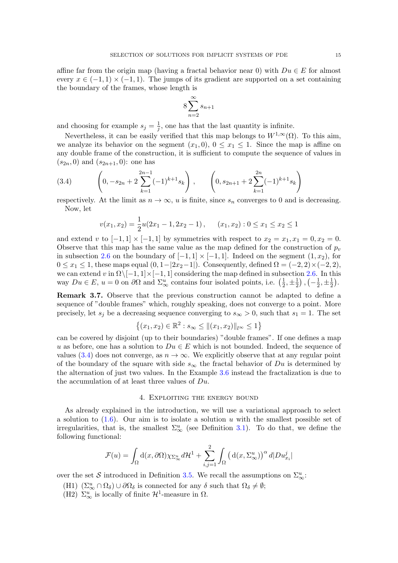affine far from the origin map (having a fractal behavior near 0) with  $Du \in E$  for almost every  $x \in (-1,1) \times (-1,1)$ . The jumps of its gradient are supported on a set containing the boundary of the frames, whose length is

$$
8\sum_{n=2}^{\infty} s_{n+1}
$$

and choosing for example  $s_j = \frac{1}{i}$  $\frac{1}{j}$ , one has that the last quantity is infinite.

Nevertheless, it can be easily verified that this map belongs to  $W^{1,\infty}(\Omega)$ . To this aim, we analyze its behavior on the segment  $(x_1, 0), 0 \le x_1 \le 1$ . Since the map is affine on any double frame of the construction, it is sufficient to compute the sequence of values in  $(s_{2n}, 0)$  and  $(s_{2n+1}, 0)$ : one has

<span id="page-14-1"></span>(3.4) 
$$
\left(0, -s_{2n}+2\sum_{k=1}^{2n-1}(-1)^{k+1}s_k\right), \qquad \left(0, s_{2n+1}+2\sum_{k=1}^{2n}(-1)^{k+1}s_k\right)
$$

respectively. At the limit as  $n \to \infty$ , u is finite, since  $s_n$  converges to 0 and is decreasing. Now, let

$$
v(x_1, x_2) = \frac{1}{2}u(2x_1 - 1, 2x_2 - 1), \quad (x_1, x_2) : 0 \le x_1 \le x_2 \le 1
$$

and extend v to  $[-1,1] \times [-1,1]$  by symmetries with respect to  $x_2 = x_1, x_1 = 0, x_2 = 0$ . Observe that this map has the same value as the map defined for the construction of  $p_v$ in subsection [2.6](#page-7-0) on the boundary of  $[-1, 1] \times [-1, 1]$ . Indeed on the segment  $(1, x_2)$ , for  $0 \le x_1 \le 1$ , these maps equal  $(0, 1-|2x_2-1|)$ . Consequently, defined  $\Omega = (-2, 2) \times (-2, 2)$ , we can extend v in  $\Omega \setminus [-1, 1] \times [-1, 1]$  considering the map defined in subsection [2.6.](#page-7-0) In this way  $Du \in E$ ,  $u = 0$  on  $\partial\Omega$  and  $\Sigma^u_{\infty}$  contains four isolated points, i.e.  $\left(\frac{1}{2}\right)$  $\frac{1}{2}, \pm \frac{1}{2}$  $(\frac{1}{2}), (-\frac{1}{2})$  $\frac{1}{2}, \pm \frac{1}{2}$  $\frac{1}{2}$ .

<span id="page-14-2"></span>Remark 3.7. Observe that the previous construction cannot be adapted to define a sequence of "double frames" which, roughly speaking, does not converge to a point. More precisely, let  $s_j$  be a decreasing sequence converging to  $s_{\infty} > 0$ , such that  $s_1 = 1$ . The set

$$
\{(x_1, x_2) \in \mathbb{R}^2 : s_{\infty} \le ||(x_1, x_2)||_{l^{\infty}} \le 1\}
$$

can be covered by disjoint (up to their boundaries) "double frames". If one defines a map u as before, one has a solution to  $Du \in E$  which is not bounded. Indeed, the sequence of values [\(3.4\)](#page-14-1) does not converge, as  $n \to \infty$ . We explicitly observe that at any regular point of the boundary of the square with side  $s_{\infty}$  the fractal behavior of Du is determined by the alternation of just two values. In the Example [3.6](#page-12-2) instead the fractalization is due to the accumulation of at least three values of  $Du$ .

# 4. Exploiting the energy bound

<span id="page-14-0"></span>As already explained in the introduction, we will use a variational approach to select a solution to  $(1.6)$ . Our aim is to isolate a solution u with the smallest possible set of irregularities, that is, the smallest  $\Sigma^u_\infty$  (see Definition [3.1\)](#page-10-0). To do that, we define the following functional:

$$
\mathcal{F}(u) = \int_{\Omega} \mathrm{d}(x, \partial \Omega) \chi_{\Sigma_{\infty}^u} d\mathcal{H}^1 + \sum_{i,j=1}^2 \int_{\Omega} \left( \mathrm{d}(x, \Sigma_{\infty}^u) \right)^{\alpha} d|D u_{x_i}^j|
$$

over the set S introduced in Definition [3.5.](#page-12-3) We recall the assumptions on  $\Sigma^u_\infty$ :

- (H1)  $(\Sigma_\infty^u \cap \Omega_\delta) \cup \partial \Omega_\delta$  is connected for any  $\delta$  such that  $\Omega_\delta \neq \emptyset$ ;
- (H2)  $\Sigma^u_{\infty}$  is locally of finite  $\mathcal{H}^1$ -measure in  $\Omega$ .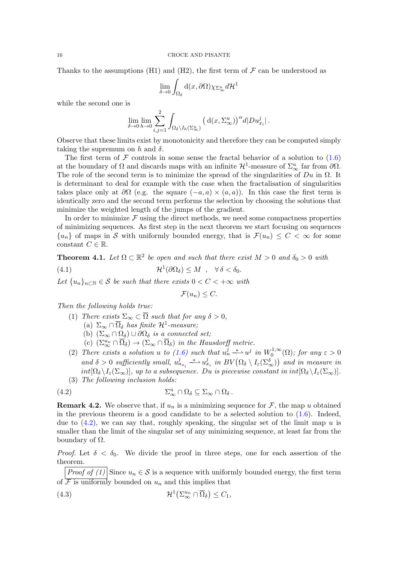Thanks to the assumptions (H1) and (H2), the first term of  $\mathcal F$  can be understood as

$$
\lim_{\delta \to 0} \int_{\Omega_{\delta}} \mathrm{d}(x, \partial \Omega) \chi_{\Sigma_{\infty}^{u}} d\mathcal{H}^{1}
$$

while the second one is

$$
\lim_{\delta \to 0} \lim_{h \to 0} \sum_{i,j=1}^2 \int_{\Omega_\delta \setminus I_h(\Sigma_\infty^u)} \left( d(x, \Sigma_\infty^u) \right)^\alpha d|D u_{x_i}^j|.
$$

Observe that these limits exist by monotonicity and therefore they can be computed simply taking the supremum on h and  $\delta$ .

The first term of  $\mathcal F$  controls in some sense the fractal behavior of a solution to [\(1.6\)](#page-2-0) at the boundary of  $\Omega$  and discards maps with an infinite  $\mathcal{H}^1$ -measure of  $\Sigma^u_\infty$  far from  $\partial\Omega$ . The role of the second term is to minimize the spread of the singularities of  $Du$  in  $\Omega$ . It is determinant to deal for example with the case when the fractalisation of singularities takes place only at  $\partial\Omega$  (e.g. the square  $(-a, a) \times (a, a)$ ). In this case the first term is identically zero and the second term performs the selection by choosing the solutions that minimize the weighted length of the jumps of the gradient.

In order to minimize  $\mathcal F$  using the direct methods, we need some compactness properties of minimizing sequences. As first step in the next theorem we start focusing on sequences  $\{u_n\}$  of maps in S with uniformly bounded energy, that is  $\mathcal{F}(u_n) \leq C < \infty$  for some constant  $C \in \mathbb{R}$ .

<span id="page-15-0"></span>**Theorem 4.1.** Let  $\Omega \subset \mathbb{R}^2$  be open and such that there exist  $M > 0$  and  $\delta_0 > 0$  with

(4.1) 
$$
\mathcal{H}^1(\partial\Omega_\delta) \leq M \quad , \quad \forall \delta < \delta_0.
$$

Let  $\{u_n\}_{n\in\mathbb{N}}\in\mathcal{S}$  be such that there exists  $0 < C < +\infty$  with

<span id="page-15-2"></span><span id="page-15-1"></span> $\mathcal{F}(u_n) \leq C.$ 

Then the following holds true:

- (1) There exists  $\Sigma_{\infty} \subset \overline{\Omega}$  such that for any  $\delta > 0$ , (a)  $\Sigma_{\infty} \cap \overline{\Omega}_{\delta}$  has finite  $\mathcal{H}^1$ -measure;
	- (b)  $(\Sigma_{\infty} \cap \Omega_{\delta}) \cup \partial \Omega_{\delta}$  is a connected set;
	- (c)  $(\Sigma_{\infty}^{u_n} \cap \overline{\Omega}_{\delta}) \to (\Sigma_{\infty} \cap \overline{\Omega}_{\delta})$  in the Hausdorff metric.
- (2) There exists a solution u to [\(1.6\)](#page-2-0) such that  $u_n^j \stackrel{*}{\longrightarrow} u^j$  in  $W_0^{1,\infty}$  $\zeta_0^{1,\infty}(\Omega)$ ; for any  $\varepsilon > 0$ and  $\delta > 0$  sufficiently small,  $u_{n_{x_i}}^j \rightharpoonup u_{x_i}^j$  in  $BV(\Omega_{\delta} \setminus I_{\varepsilon}(\Sigma_{\infty}^{\delta}))$  and in measure in  $int[\Omega_{\delta} \setminus I_{\epsilon}(\Sigma_{\infty})],$  up to a subsequence. Du is piecewise constant in  $int[\Omega_{\delta} \setminus I_{\epsilon}(\Sigma_{\infty})].$ (3) The following inclusion holds:

$$
(4.2) \t\t \t\t \Sigma_{\infty}^u \cap \Omega_{\delta} \subseteq \Sigma_{\infty} \cap \Omega_{\delta}.
$$

**Remark 4.2.** We observe that, if  $u_n$  is a minimizing sequence for F, the map u obtained in the previous theorem is a good candidate to be a selected solution to  $(1.6)$ . Indeed, due to  $(4.2)$ , we can say that, roughly speaking, the singular set of the limit map u is smaller than the limit of the singular set of any minimizing sequence, at least far from the boundary of  $Ω$ .

*Proof.* Let  $\delta < \delta_0$ . We divide the proof in three steps, one for each assertion of the theorem.

*Proof of (1)* Since  $u_n \in \mathcal{S}$  is a sequence with uniformly bounded energy, the first term of  $\overline{\mathcal{F}}$  is uniformly bounded on  $u_n$  and this implies that

<span id="page-15-3"></span>(4.3) 
$$
\mathcal{H}^1\big(\Sigma_\infty^{u_n} \cap \overline{\Omega}_\delta\big) \leq C_1,
$$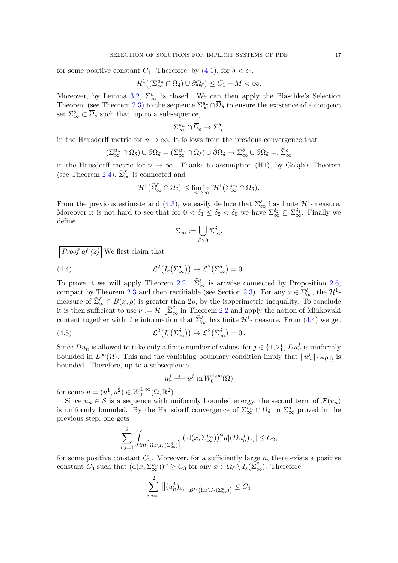for some positive constant  $C_1$ . Therefore, by [\(4.1\)](#page-15-2), for  $\delta < \delta_0$ ,

$$
\mathcal{H}^1((\Sigma^{u_n}_{\infty} \cap \overline{\Omega}_{\delta}) \cup \partial \Omega_{\delta}) \leq C_1 + M < \infty.
$$

Moreover, by Lemma [3.2,](#page-10-4)  $\Sigma_{\infty}^{u_n}$  is closed. We can then apply the Blaschke's Selection Theorem (see Theorem [2.3\)](#page-4-0) to the sequence  $\Sigma^{u_n}_{\infty} \cap \overline{\Omega}_{\delta}$  to ensure the existence of a compact set  $\Sigma_{\infty}^{\delta} \subset \overline{\Omega}_{\delta}$  such that, up to a subsequence,

$$
\Sigma_\infty^{u_n} \cap \overline{\Omega}_\delta \to \Sigma_\infty^\delta
$$

in the Hausdorff metric for  $n \to \infty$ . It follows from the previous convergence that

$$
(\Sigma^{u_n}_{\infty} \cap \overline{\Omega}_{\delta}) \cup \partial \Omega_{\delta} = (\Sigma^{u_n}_{\infty} \cap \Omega_{\delta}) \cup \partial \Omega_{\delta} \to \Sigma^{\delta}_{\infty} \cup \partial \Omega_{\delta} =: \tilde{\Sigma}^{\delta}_{\infty}
$$

in the Hausdorff metric for  $n \to \infty$ . Thanks to assumption (H1), by Goląb's Theorem (see Theorem [2.4\)](#page-4-1),  $\tilde{\Sigma}_{\infty}^{\delta}$  is connected and

$$
\mathcal{H}^1(\tilde{\Sigma}_{\infty}^{\delta} \cap \Omega_{\delta}) \leq \liminf_{n \to \infty} \mathcal{H}^1(\Sigma_{\infty}^{u_n} \cap \Omega_{\delta}).
$$

From the previous estimate and [\(4.3\)](#page-15-3), we easily deduce that  $\Sigma^{\delta}_{\infty}$  has finite  $\mathcal{H}^1$ -measure. Moreover it is not hard to see that for  $0 < \delta_1 \leq \delta_2 < \delta_0$  we have  $\Sigma^{\delta_2}_{\infty} \subseteq \Sigma^{\delta_1}_{\infty}$ . Finally we define

<span id="page-16-0"></span>
$$
\Sigma_\infty := \bigcup_{\delta > 0} \Sigma_\infty^{\delta}.
$$

*Proof of (2)* We first claim that

(4.4) 
$$
\mathcal{L}^2(I_{\varepsilon}(\tilde{\Sigma}_{\infty}^{\delta})) \to \mathcal{L}^2(\tilde{\Sigma}_{\infty}^{\delta}) = 0.
$$

To prove it we will apply Theorem [2.2.](#page-4-2)  $\tilde{\Sigma}_{\infty}^{\delta}$  is arcwise connected by Proposition [2.6,](#page-5-0) compact by Theorem [2.3](#page-4-0) and then rectifiable (see Section [2.3\)](#page-4-3). For any  $x \in \tilde{\Sigma}_{\infty}^{\delta}$ , the  $\mathcal{H}^1$ measure of  $\tilde{\Sigma}_{\infty}^{\delta} \cap B(x,\rho)$  is greater than  $2\rho$ , by the isoperimetric inequality. To conclude it is then sufficient to use  $\nu := \mathcal{H}^1 \lfloor \tilde{\Sigma}_{\infty}^{\delta} \text{ in Theorem 2.2 and apply the notion of Minkowski }$  $\nu := \mathcal{H}^1 \lfloor \tilde{\Sigma}_{\infty}^{\delta} \text{ in Theorem 2.2 and apply the notion of Minkowski }$  $\nu := \mathcal{H}^1 \lfloor \tilde{\Sigma}_{\infty}^{\delta} \text{ in Theorem 2.2 and apply the notion of Minkowski }$ content together with the information that  $\tilde{\Sigma}_{\infty}^{\delta}$  has finite  $\mathcal{H}^1$ -measure. From [\(4.4\)](#page-16-0) we get

(4.5) 
$$
\mathcal{L}^2\big(I_{\varepsilon}(\Sigma_{\infty}^{\delta})\big) \to \mathcal{L}^2\big(\Sigma_{\infty}^{\delta}\big) = 0.
$$

Since  $Du_n$  is allowed to take only a finite number of values, for  $j \in \{1, 2\}$ ,  $Du_n^j$  is uniformly bounded in  $L^{\infty}(\Omega)$ . This and the vanishing boundary condition imply that  $||u_n||_{L^{\infty}(\Omega)}$  is bounded. Therefore, up to a subsequence,

<span id="page-16-1"></span>
$$
u_n^j \stackrel{*}{\longrightarrow} u^j \text{ in } W_0^{1,\infty}(\Omega)
$$

for some  $u = (u^1, u^2) \in W_0^{1, \infty}$  $L_0^{1,\infty}(\Omega,\mathbb{R}^2).$ 

Since  $u_n \in \mathcal{S}$  is a sequence with uniformly bounded energy, the second term of  $\mathcal{F}(u_n)$ is uniformly bounded. By the Hausdorff convergence of  $\Sigma_{\infty}^{u_n} \cap \overline{\Omega}_{\delta}$  to  $\Sigma_{\infty}^{\delta}$  proved in the previous step, one gets

$$
\sum_{i,j=1}^2 \int_{int\left[\Omega_\delta \setminus I_\varepsilon(\Sigma_\infty^\delta)\right]} \left(\,\mathrm{d}(x,\Sigma_\infty^{u_n})\right)^\alpha d|(Du_n^j)_{x_i}| \le C_2,
$$

for some positive constant  $C_2$ . Moreover, for a sufficiently large n, there exists a positive constant  $C_3$  such that  $(d(x, \Sigma_{\infty}^{u_n}))^{\alpha} \geq C_3$  for any  $x \in \Omega_{\delta} \setminus I_{\varepsilon}(\Sigma_{\infty}^{\delta})$ . Therefore

$$
\sum_{i,j=1}^2 \|(u_n^j)_{x_i}\|_{BV\left(\Omega_\delta \setminus I_\varepsilon(\Sigma_\infty^\delta)\right)} \leq C_4
$$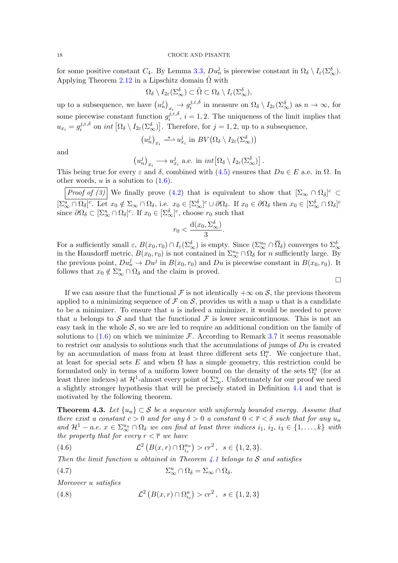## 18 CROCE AND PISANTE

for some positive constant  $C_4$ . By Lemma [3.3,](#page-11-1)  $Du_n^j$  is piecewise constant in  $\Omega_\delta \setminus I_\varepsilon(\Sigma_\infty^\delta)$ . Applying Theorem [2.12](#page-7-3) in a Lipschitz domain  $\tilde{\Omega}$  with

$$
\Omega_{\delta} \setminus I_{2\varepsilon}(\Sigma_{\infty}^{\delta}) \subset \tilde{\Omega} \subset \Omega_{\delta} \setminus I_{\varepsilon}(\Sigma_{\infty}^{\delta}),
$$

up to a subsequence, we have  $(u_n^j)_{x_i} \to g_i^{j,\varepsilon,\delta}$  $i^{j,\varepsilon,\delta}$  in measure on  $\Omega_{\delta} \setminus I_{2\varepsilon}(\Sigma_{\infty}^{\delta})$  as  $n \to \infty$ , for some piecewise constant function  $g_i^{j,\varepsilon,\delta}$  $i^{(j,\varepsilon,\theta)}$ ,  $i=1,2$ . The uniqueness of the limit implies that  $u_{x_i} = g_i^{j, \varepsilon, \delta}$  $i^{j,\varepsilon,\delta}$  on  $int \left[ \Omega_{\delta} \setminus I_{2\varepsilon}(\Sigma_{\infty}^{\delta}) \right]$ . Therefore, for  $j=1,2$ , up to a subsequence,

$$
\left(u_n^j\right)_{x_i} \stackrel{*}{\longrightarrow} u_{x_i}^j \text{ in } BV\left(\Omega_\delta \setminus I_{2\varepsilon}(\Sigma_\infty^\delta)\right)
$$

and

$$
(u_n^j)_{x_i} \longrightarrow u_{x_i}^j
$$
 a.e. in  $int \big[ \Omega_{\delta} \setminus I_{2\varepsilon}(\Sigma_{\infty}^{\delta}) \big]$ .

This being true for every  $\varepsilon$  and  $\delta$ , combined with [\(4.5\)](#page-16-1) ensures that  $Du \in E$  a.e. in  $\Omega$ . In other words,  $u$  is a solution to  $(1.6)$ .

*Proof of (3)* We finally prove [\(4.2\)](#page-15-1) that is equivalent to show that  $[\Sigma_{\infty} \cap \Omega_{\delta}]^c \subset$  $[\Sigma^u_\infty \cap \Omega_\delta]^c$ . Let  $x_0 \notin \Sigma_\infty \cap \Omega_\delta$ , i.e.  $x_0 \in [\Sigma^\delta_\infty]^c \cup \partial \Omega_\delta$ . If  $x_0 \in \partial \Omega_\delta$  then  $x_0 \in [\Sigma^\delta_\infty \cap \Omega_\delta]^c$ since  $\partial\Omega_{\delta} \subset [\Sigma_{\infty}^u \cap \Omega_{\delta}]^c$ . If  $x_0 \in [\Sigma_{\infty}^{\delta}]^c$ , choose  $r_0$  such that

$$
r_0 < \frac{\mathrm{d}(x_0, \Sigma_\infty^\delta)}{3}.
$$

For a sufficiently small  $\varepsilon$ ,  $B(x_0, r_0) \cap I_{\varepsilon}(\Sigma_{\infty}^{\delta})$  is empty. Since  $(\Sigma_{\infty}^{u_n} \cap \overline{\Omega}_{\delta})$  converges to  $\Sigma_{\infty}^{\delta}$ in the Hausdorff metric,  $B(x_0, r_0)$  is not contained in  $\Sigma_{\infty}^{u_n} \cap \Omega_{\delta}$  for *n* sufficiently large. By the previous point,  $Du_n^j \to Du^j$  in  $B(x_0, r_0)$  and  $Du$  is piecewise constant in  $B(x_0, r_0)$ . It follows that  $x_0 \notin \Sigma_{\infty}^u \cap \Omega_{\delta}$  and the claim is proved.

 $\Box$ 

If we can assure that the functional F is not identically  $+\infty$  on S, the previous theorem applied to a minimizing sequence of F on S, provides us with a map u that is a candidate to be a minimizer. To ensure that  $u$  is indeed a minimizer, it would be needed to prove that u belongs to S and that the functional F is lower semicontinuous. This is not an easy task in the whole  $\mathcal{S}$ , so we are led to require an additional condition on the family of solutions to  $(1.6)$  on which we minimize F. According to Remark [3.7](#page-14-2) it seems reasonable to restrict our analysis to solutions such that the accumulations of jumps of  $Du$  is created by an accumulation of mass from at least three different sets  $\Omega_i^u$ . We conjecture that, at least for special sets E and when  $\Omega$  has a simple geometry, this restriction could be formulated only in terms of a uniform lower bound on the density of the sets  $\Omega_i^u$  (for at least three indexes) at  $\mathcal{H}^1$ -almost every point of  $\Sigma^u_\infty$ . Unfortunately for our proof we need a slightly stronger hypothesis that will be precisely stated in Definition [4.4](#page-20-0) and that is motivated by the following theorem.

<span id="page-17-3"></span>**Theorem 4.3.** Let  $\{u_n\} \subset \mathcal{S}$  be a sequence with uniformly bounded energy. Assume that there exist a constant  $c > 0$  and for any  $\delta > 0$  a constant  $0 < \overline{r} < \delta$  such that for any  $u_n$ and  $\mathcal{H}^1 - a.e.$   $x \in \sum_{\infty}^{u_n} \cap \Omega_{\delta}$  we can find at least three indices  $i_1, i_2, i_3 \in \{1, ..., k\}$  with the property that for every  $r < \overline{r}$  we have

<span id="page-17-0"></span>(4.6) 
$$
\mathcal{L}^2\left(B(x,r)\cap\Omega_{i_s}^{u_n}\right) > cr^2, \ \ s\in\{1,2,3\}.
$$

Then the limit function u obtained in Theorem [4.1](#page-15-0) belongs to  $S$  and satisfies

<span id="page-17-1"></span>(4.7) 
$$
\Sigma^u_\infty \cap \Omega_\delta = \Sigma_\infty \cap \Omega_\delta.
$$

Moreover u satisfies

<span id="page-17-2"></span>(4.8) 
$$
\mathcal{L}^2\left(B(x,r)\cap\Omega_{i_s}^u\right) > cr^2, \ \ s\in\{1,2,3\}
$$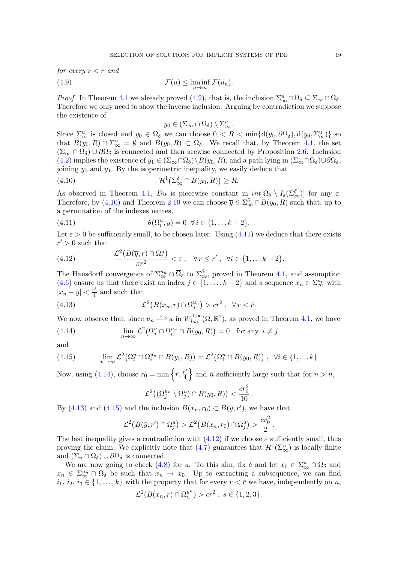for every  $r < \overline{r}$  and

(4.9) 
$$
\mathcal{F}(u) \leq \liminf_{n \to \infty} \mathcal{F}(u_n).
$$

*Proof.* In Theorem [4.1](#page-15-0) we already proved [\(4.2\)](#page-15-1), that is, the inclusion  $\Sigma_{\infty}^{u} \cap \Omega_{\delta} \subseteq \Sigma_{\infty} \cap \Omega_{\delta}$ . Therefore we only need to show the inverse inclusion. Arguing by contradiction we suppose the existence of

<span id="page-18-6"></span><span id="page-18-0"></span>
$$
y_0 \in (\Sigma_\infty \cap \Omega_\delta) \setminus \Sigma_\infty^u.
$$

Since  $\Sigma^u_\infty$  is closed and  $y_0 \in \Omega_\delta$  we can choose  $0 < R < \min\{d(y_0, \partial\Omega_\delta), d(y_0, \Sigma^u_\infty)\}\)$ that  $B(y_0, R) \cap \Sigma_{\infty}^u = \emptyset$  and  $B(y_0, R) \subset \Omega_{\delta}$ . We recall that, by Theorem [4.1,](#page-15-0) the set  $(\Sigma_{\infty} \cap \Omega_{\delta}) \cup \partial \Omega_{\delta}$  is connected and then arcwise connected by Proposition [2.6.](#page-5-0) Inclusion [\(4.2\)](#page-15-1) implies the existence of  $y_1 \in (\Sigma_{\infty} \cap \Omega_{\delta}) \setminus B(y_0, R)$ , and a path lying in  $(\Sigma_{\infty} \cap \Omega_{\delta}) \cup \partial \Omega_{\delta}$ , joining  $y_0$  and  $y_1$ . By the isoperimetric inequality, we easily deduce that

(4.10) 
$$
\mathcal{H}^1(\Sigma_\infty^{\delta} \cap B(y_0, R)) \ge R.
$$

As observed in Theorem [4.1,](#page-15-0) Du is piecewise constant in  $int[\Omega_{\delta} \setminus I_{\epsilon}(\Sigma_{\infty}^{\delta})]$  for any  $\varepsilon$ . Therefore, by [\(4.10\)](#page-18-0) and Theorem [2.10](#page-7-4) we can choose  $\overline{y} \in \sum_{\infty}^{\delta} \cap B(y_0, R)$  such that, up to a permutation of the indexes names,

<span id="page-18-1"></span>(4.11) 
$$
\theta(\Omega_i^u, \overline{y}) = 0 \quad \forall i \in \{1, \dots k-2\}.
$$

Let  $\varepsilon > 0$  be sufficiently small, to be chosen later. Using [\(4.11\)](#page-18-1) we deduce that there exists  $r' > 0$  such that

<span id="page-18-5"></span>(4.12) 
$$
\frac{\mathcal{L}^2(B(\overline{y},r)\cap\Omega_i^u)}{\pi r^2}<\varepsilon, \quad \forall r\leq r', \ \forall i\in\{1,\ldots k-2\}.
$$

The Hausdorff convergence of  $\Sigma_{\infty}^{u_n} \cap \overline{\Omega}_{\delta}$  to  $\Sigma_{\infty}^{\delta}$ , proved in Theorem [4.1,](#page-15-0) and assumption [\(4.6\)](#page-17-0) ensure us that there exist an index  $j \in \{1, ..., k-2\}$  and a sequence  $x_n \in \sum_{\infty}^{u_n}$  with  $|x_n - \bar{y}| < \frac{r'}{4}$  $\frac{r}{4}$  and such that

<span id="page-18-3"></span>(4.13) 
$$
\mathcal{L}^2(B(x_n,r)\cap\Omega_j^{u_n})>cr^2,\ \forall r<\bar{r}.
$$

We now observe that, since  $u_n \stackrel{*}{\longrightarrow} u$  in  $W^{1,\infty}_{loc}(\Omega,\mathbb{R}^2)$ , as proved in Theorem [4.1,](#page-15-0) we have

<span id="page-18-2"></span>(4.14) 
$$
\lim_{n \to \infty} \mathcal{L}^2(\Omega_j^u \cap \Omega_i^{u_n} \cap B(y_0, R)) = 0 \text{ for any } i \neq j
$$

and

<span id="page-18-4"></span>(4.15) 
$$
\lim_{n \to \infty} \mathcal{L}^2(\Omega_i^u \cap \Omega_i^{u_n} \cap B(y_0, R)) = \mathcal{L}^2(\Omega_i^u \cap B(y_0, R)), \quad \forall i \in \{1, \dots k\}
$$

Now, using [\(4.14\)](#page-18-2), choose  $r_0 = \min \left\{ \bar{r}, \frac{r'}{4} \right\}$  $\left\{ \frac{n'}{4} \right\}$  and  $\bar{n}$  sufficiently large such that for  $n > \bar{n}$ ,

$$
\mathcal{L}^2((\Omega_j^{u_n} \setminus \Omega_j^u) \cap B(y_0, R)) < \frac{cr_0^2}{10}.
$$

By [\(4.13\)](#page-18-3) and [\(4.15\)](#page-18-4) and the inclusion  $B(x_n, r_0) \subset B(\bar{y}, r')$ , we have that

$$
\mathcal{L}^2(B(\bar{y},r') \cap \Omega_j^u) > \mathcal{L}^2(B(x_n,r_0) \cap \Omega_j^u) > \frac{cr_0^2}{2}.
$$

The last inequality gives a contradiction with  $(4.12)$  if we choose  $\varepsilon$  sufficiently small, thus proving the claim. We explicitly note that  $(4.7)$  guarantees that  $\mathcal{H}^1(\Sigma^u_\infty)$  is locally finite and  $(\Sigma_u \cap \Omega_\delta) \cup \partial \Omega_\delta$  is connected.

We are now going to check [\(4.8\)](#page-17-2) for u. To this aim, fix  $\delta$  and let  $x_0 \in \Sigma_{\infty}^u \cap \Omega_{\delta}$  and  $x_n \in \Sigma_{\infty}^{u_n} \cap \Omega_{\delta}$  be such that  $x_n \to x_0$ . Up to extracting a subsequence, we can find  $i_1, i_2, i_3 \in \{1, \ldots, k\}$  with the property that for every  $r < \overline{r}$  we have, independently on n,

$$
\mathcal{L}^2(B(x_n,r) \cap \Omega_{i_s}^{u^n}) > cr^2 , s \in \{1,2,3\}.
$$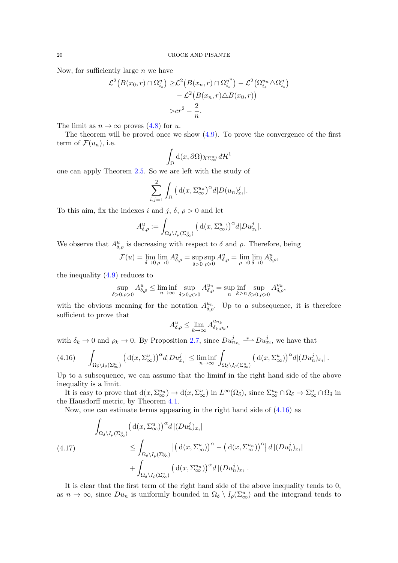Now, for sufficiently large  $n$  we have

$$
\mathcal{L}^2(B(x_0,r) \cap \Omega_{i_s}^u) \geq \mathcal{L}^2(B(x_n,r) \cap \Omega_{i_s}^{u^n}) - \mathcal{L}^2(\Omega_{i_s}^{u_n} \triangle \Omega_{i_s}^u) - \mathcal{L}^2(B(x_n,r) \triangle B(x_0,r)) \n> cr^2 - \frac{2}{n}.
$$

The limit as  $n \to \infty$  proves  $(4.8)$  for u.

The theorem will be proved once we show  $(4.9)$ . To prove the convergence of the first term of  $\mathcal{F}(u_n)$ , i.e.

$$
\int_{\Omega} d(x, \partial \Omega) \chi_{\Sigma_{\infty}^{u_n}} d\mathcal{H}^1
$$

one can apply Theorem [2.5.](#page-5-1) So we are left with the study of

$$
\sum_{i,j=1}^{2} \int_{\Omega} \left( d(x, \Sigma_{\infty}^{u_n})^{\alpha} d|D(u_n)_{x_i}^j\right).
$$

To this aim, fix the indexes i and j,  $\delta$ ,  $\rho > 0$  and let

$$
A_{\delta,\rho}^u := \int_{\Omega_{\delta}\backslash I_{\rho}(\Sigma_{\infty}^u)} \left( d(x, \Sigma_{\infty}^u) \right)^{\alpha} d|D u_{x_i}^j|.
$$

We observe that  $A_{\delta,\rho}^u$  is decreasing with respect to  $\delta$  and  $\rho$ . Therefore, being

$$
\mathcal{F}(u) = \lim_{\delta \to 0} \lim_{\rho \to 0} A_{\delta,\rho}^u = \sup_{\delta > 0} \sup_{\rho > 0} A_{\delta,\rho}^u = \lim_{\rho \to 0} \lim_{\delta \to 0} A_{\delta,\rho}^u,
$$

the inequality  $(4.9)$  reduces to

$$
\sup_{\delta>0,\rho>0} A_{\delta,\rho}^u \le \liminf_{n \to \infty} \sup_{\delta>0,\rho>0} A_{\delta,\rho}^{u_n} = \sup_n \inf_{k>n} \sup_{\delta>0,\rho>0} A_{\delta,\rho}^{u_k},
$$

with the obvious meaning for the notation  $A_{\delta,\rho}^{u_n}$ . Up to a subsequence, it is therefore sufficient to prove that

$$
A_{\delta,\rho}^u \le \lim_{k \to \infty} A_{\delta_k,\rho_k}^{u_{n_k}},
$$

with  $\delta_k \to 0$  and  $\rho_k \to 0$ . By Proposition [2.7,](#page-5-2) since  $Du_{n_{x_i}}^j \stackrel{*}{\longrightarrow} Du_{x_i}^j$ , we have that

<span id="page-19-0"></span>
$$
(4.16)\qquad \int_{\Omega_{\delta}\backslash I_{\rho}(\Sigma_{\infty}^u)} \left(\mathrm{d}(x,\Sigma_{\infty}^u)\right)^{\alpha} d|D u_{x_i}^j| \leq \liminf_{n\to\infty} \int_{\Omega_{\delta}\backslash I_{\rho}(\Sigma_{\infty}^u)} \left(\mathrm{d}(x,\Sigma_{\infty}^u)\right)^{\alpha} d|(Du_n^j)_{x_i}|.
$$

Up to a subsequence, we can assume that the liminf in the right hand side of the above inequality is a limit.

It is easy to prove that  $d(x, \Sigma_{\infty}^{u_n}) \to d(x, \Sigma_{\infty}^{u})$  in  $L^{\infty}(\Omega_{\delta}),$  since  $\Sigma_{\infty}^{u_n} \cap \overline{\Omega}_{\delta} \to \Sigma_{\infty}^{u} \cap \overline{\Omega}_{\delta}$  in the Hausdorff metric, by Theorem [4.1.](#page-15-0)

Now, one can estimate terms appearing in the right hand side of [\(4.16\)](#page-19-0) as

<span id="page-19-1"></span>
$$
\int_{\Omega_{\delta}\backslash I_{\rho}(\Sigma_{\infty}^{u})} \left(\mathrm{d}(x, \Sigma_{\infty}^{u})\right)^{\alpha} d \left| (Du_{n}^{j})_{x_{i}} \right|
$$
\n
$$
\leq \int_{\Omega_{\delta}\backslash I_{\rho}(\Sigma_{\infty}^{u})} \left| \left(\mathrm{d}(x, \Sigma_{\infty}^{u})\right)^{\alpha} - \left(\mathrm{d}(x, \Sigma_{\infty}^{u_{n}})\right)^{\alpha} \right| d \left| (Du_{n}^{j})_{x_{i}} \right|
$$
\n
$$
+ \int_{\Omega_{\delta}\backslash I_{\rho}(\Sigma_{\infty}^{u})} \left(\mathrm{d}(x, \Sigma_{\infty}^{u_{n}})\right)^{\alpha} d \left| (Du_{n}^{j})_{x_{i}} \right|.
$$

It is clear that the first term of the right hand side of the above inequality tends to 0, as  $n \to \infty$ , since  $Du_n$  is uniformly bounded in  $\Omega_\delta \setminus I_\rho(\Sigma_\infty^u)$  and the integrand tends to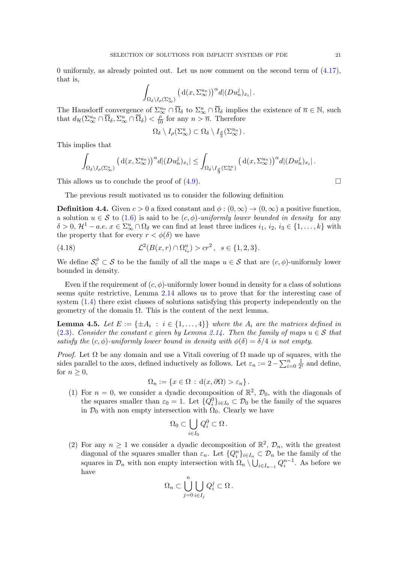0 uniformly, as already pointed out. Let us now comment on the second term of  $(4.17)$ , that is,

$$
\int_{\Omega_{\delta}\setminus I_{\rho}(\Sigma_{\infty}^u)} \left(d(x,\Sigma_{\infty}^{u_n})\right)^{\alpha} d|(Du_n^j)_{x_i}|.
$$

The Hausdorff convergence of  $\Sigma_{\infty}^{u_n} \cap \overline{\Omega}_{\delta}$  to  $\Sigma_{\infty}^u \cap \overline{\Omega}_{\delta}$  implies the existence of  $\overline{n} \in \mathbb{N}$ , such that  $d_{\mathcal{H}}(\Sigma_{\infty}^{u_n} \cap \overline{\Omega}_{\delta}, \Sigma_{\infty}^{u} \cap \overline{\Omega}_{\delta}) < \frac{\rho}{10}$  for any  $n > \overline{n}$ . Therefore

$$
\Omega_{\delta} \setminus I_{\rho}(\Sigma^u_{\infty}) \subset \Omega_{\delta} \setminus I_{\frac{\rho}{3}}(\Sigma^{u_n}_{\infty}).
$$

This implies that

$$
\int_{\Omega_{\delta}\backslash I_{\rho}(\Sigma_{\infty}^u)} \left(\, {\rm d}(x,\Sigma_{\infty}^{u_n})\right)^{\alpha} d \vert (D u_n^j)_{x_i}\vert \leq \int_{\Omega_{\delta}\backslash I_{\frac{\rho}{3}}(\Sigma_{\infty}^{u_n})} \left(\, {\rm d}(x,\Sigma_{\infty}^{u_n})\right)^{\alpha} d \vert (D u_n^j)_{x_i}\vert \, .
$$

This allows us to conclude the proof of  $(4.9)$ .

The previous result motivated us to consider the following definition

<span id="page-20-0"></span>**Definition 4.4.** Given  $c > 0$  a fixed constant and  $\phi : (0, \infty) \to (0, \infty)$  a positive function. a solution  $u \in \mathcal{S}$  to [\(1.6\)](#page-2-0) is said to be  $(c, \phi)$ -uniformly lower bounded in density for any  $\delta > 0, \, \mathcal{H}^1 - a.e. \, x \in \Sigma^u_\infty \cap \Omega_\delta$  we can find at least three indices  $i_1, i_2, i_3 \in \{1, \ldots, k\}$  with the property that for every  $r < \phi(\delta)$  we have

(4.18) 
$$
\mathcal{L}^2(B(x,r) \cap \Omega_{i_s}^u) > cr^2, \ \ s \in \{1,2,3\}.
$$

We define  $\mathcal{S}_{c}^{\phi} \subset \mathcal{S}$  to be the family of all the maps  $u \in \mathcal{S}$  that are  $(c, \phi)$ -uniformly lower bounded in density.

Even if the requirement of  $(c, \phi)$ -uniformly lower bound in density for a class of solutions seems quite restrictive, Lemma [2.14](#page-9-4) allows us to prove that for the interesting case of system [\(1.4\)](#page-2-2) there exist classes of solutions satisfying this property independently on the geometry of the domain  $Ω$ . This is the content of the next lemma.

<span id="page-20-1"></span>**Lemma 4.5.** Let  $E := \{\pm A_i : i \in \{1, ..., 4\}\}\$  where the  $A_i$  are the matrices defined in [\(2.3\)](#page-7-5). Consider the constant c given by Lemma [2.14.](#page-9-4) Then the family of maps  $u \in \mathcal{S}$  that satisfy the (c,  $\phi$ )-uniformly lower bound in density with  $\phi(\delta) = \delta/4$  is not empty.

*Proof.* Let  $\Omega$  be any domain and use a Vitali covering of  $\Omega$  made up of squares, with the sides parallel to the axes, defined inductively as follows. Let  $\varepsilon_n := 2 - \sum_{i=0}^n \frac{1}{2^i}$  $\frac{1}{2^i}$  and define, for  $n \geq 0$ ,

$$
\Omega_n := \{ x \in \Omega : d(x, \partial \Omega) > \varepsilon_n \} .
$$

(1) For  $n = 0$ , we consider a dyadic decomposition of  $\mathbb{R}^2$ ,  $\mathcal{D}_0$ , with the diagonals of the squares smaller than  $\varepsilon_0 = 1$ . Let  $\{Q_i^0\}_{i \in I_0} \subset \mathcal{D}_0$  be the family of the squares in  $\mathcal{D}_0$  with non empty intersection with  $\Omega_0$ . Clearly we have

$$
\Omega_0 \subset \bigcup_{i \in I_0} Q_i^0 \subset \Omega \, .
$$

(2) For any  $n \geq 1$  we consider a dyadic decomposition of  $\mathbb{R}^2$ ,  $\mathcal{D}_n$ , with the greatest diagonal of the squares smaller than  $\varepsilon_n$ . Let  $\{Q_i^n\}_{i\in I_n} \subset \mathcal{D}_n$  be the family of the squares in  $\mathcal{D}_n$  with non empty intersection with  $\Omega_n \setminus \bigcup_{i \in I_{n-1}} Q_i^{n-1}$ . As before we have

$$
\Omega_n \subset \bigcup_{j=0}^n \bigcup_{i \in I_j} Q_i^j \subset \Omega \, .
$$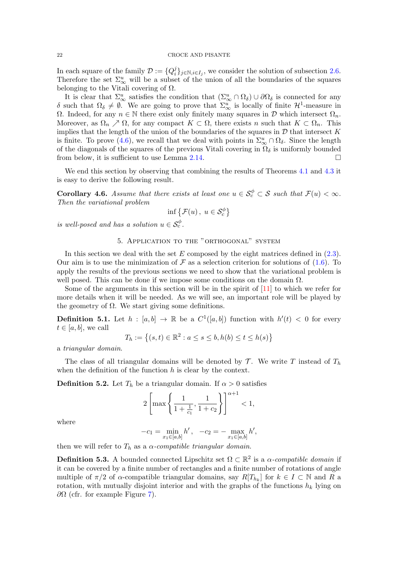<span id="page-21-4"></span>In each square of the family  $\mathcal{D} := \{Q_i^j\}$  $i_j^j\}_{j\in\mathbb{N},i\in I_j}$ , we consider the solution of subsection [2.6.](#page-7-0) Therefore the set  $\Sigma^u_\infty$  will be a subset of the union of all the boundaries of the squares belonging to the Vitali covering of  $\Omega$ .

It is clear that  $\Sigma^u_\infty$  satisfies the condition that  $(\Sigma^u_\infty \cap \Omega_\delta) \cup \partial \Omega_\delta$  is connected for any δ such that  $\Omega_\delta \neq \emptyset$ . We are going to prove that  $\Sigma^u_\infty$  is locally of finite  $\mathcal{H}^1$ -measure in Ω. Indeed, for any  $n \in \mathbb{N}$  there exist only finitely many squares in D which intersect  $Ω<sub>n</sub>$ . Moreover, as  $\Omega_n \nearrow \Omega$ , for any compact  $K \subset \Omega$ , there exists n such that  $K \subset \Omega_n$ . This implies that the length of the union of the boundaries of the squares in  $\mathcal D$  that intersect K is finite. To prove [\(4.6\)](#page-17-0), we recall that we deal with points in  $\Sigma^u_\infty \cap \Omega_\delta$ . Since the length of the diagonals of the squares of the previous Vitali covering in  $\Omega_{\delta}$  is uniformly bounded from below, it is sufficient to use Lemma [2.14.](#page-9-4)

We end this section by observing that combining the results of Theorems [4.1](#page-15-0) and [4.3](#page-17-3) it is easy to derive the following result.

<span id="page-21-3"></span>**Corollary 4.6.** Assume that there exists at least one  $u \in S_c^{\phi} \subset S$  such that  $\mathcal{F}(u) < \infty$ . Then the variational problem

$$
\inf \left\{ \mathcal{F}(u) \,,\ u \in \mathcal{S}_c^{\phi} \right\}
$$

is well-posed and has a solution  $u \in \mathcal{S}_c^{\phi}$ .

# 5. Application to the "orthogonal" system

<span id="page-21-2"></span>In this section we deal with the set  $E$  composed by the eight matrices defined in  $(2.3)$ . Our aim is to use the minimization of  $\mathcal F$  as a selection criterion for solutions of [\(1.6\)](#page-2-0). To apply the results of the previous sections we need to show that the variational problem is well posed. This can be done if we impose some conditions on the domain  $\Omega$ .

Some of the arguments in this section will be in the spirit of [\[11\]](#page-27-12) to which we refer for more details when it will be needed. As we will see, an important role will be played by the geometry of  $\Omega$ . We start giving some definitions.

**Definition 5.1.** Let  $h : [a, b] \to \mathbb{R}$  be a  $C^1([a, b])$  function with  $h'(t) < 0$  for every  $t \in [a, b]$ , we call

$$
T_h := \left\{ (s, t) \in \mathbb{R}^2 : a \le s \le b, h(b) \le t \le h(s) \right\}
$$

a triangular domain.

The class of all triangular domains will be denoted by  $\mathcal T$ . We write T instead of  $T_h$ when the definition of the function  $h$  is clear by the context.

<span id="page-21-0"></span>**Definition 5.2.** Let  $T_h$  be a triangular domain. If  $\alpha > 0$  satisfies

$$
2\left[\max\left\{\frac{1}{1+\frac{1}{c_1}},\frac{1}{1+c_2}\right\}\right]^{\alpha+1} < 1,
$$

where

$$
-c_1 = \min_{x_1 \in [a,b]} h', \quad -c_2 = -\max_{x_1 \in [a,b]} h',
$$

then we will refer to  $T_h$  as a  $\alpha$ -compatible triangular domain.

<span id="page-21-1"></span>**Definition 5.3.** A bounded connected Lipschitz set  $\Omega \subset \mathbb{R}^2$  is a  $\alpha$ -compatible domain if it can be covered by a finite number of rectangles and a finite number of rotations of angle multiple of  $\pi/2$  of  $\alpha$ -compatible triangular domains, say  $R[T_{h_k}]$  for  $k \in I \subset \mathbb{N}$  and  $\overline{R}$  a rotation, with mutually disjoint interior and with the graphs of the functions  $h_k$  lying on  $\partial\Omega$  (cfr. for example Figure [7\)](#page-22-1).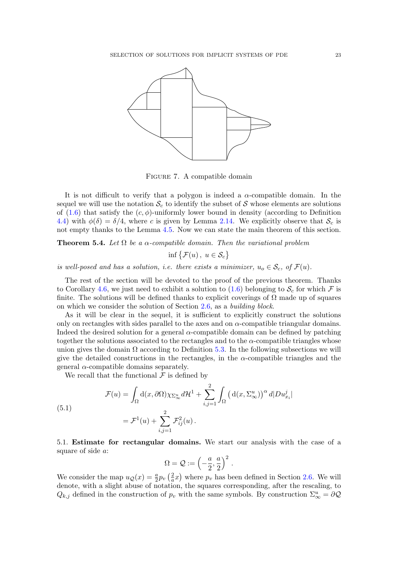

<span id="page-22-1"></span>Figure 7. A compatible domain

It is not difficult to verify that a polygon is indeed a  $\alpha$ -compatible domain. In the sequel we will use the notation  $\mathcal{S}_c$  to identify the subset of S whose elements are solutions of [\(1.6\)](#page-2-0) that satisfy the  $(c, \phi)$ -uniformly lower bound in density (according to Definition [4.4\)](#page-20-0) with  $\phi(\delta) = \delta/4$ , where c is given by Lemma [2.14.](#page-9-4) We explicitly observe that  $S_c$  is not empty thanks to the Lemma [4.5.](#page-20-1) Now we can state the main theorem of this section.

<span id="page-22-0"></span>**Theorem 5.4.** Let  $\Omega$  be a  $\alpha$ -compatible domain. Then the variational problem

 $\inf \{ \mathcal{F}(u), u \in \mathcal{S}_c \}$ 

is well-posed and has a solution, i.e. there exists a minimizer,  $u_0 \in S_c$ , of  $\mathcal{F}(u)$ .

The rest of the section will be devoted to the proof of the previous theorem. Thanks to Corollary [4.6,](#page-21-3) we just need to exhibit a solution to  $(1.6)$  belonging to  $S_c$  for which F is finite. The solutions will be defined thanks to explicit coverings of  $\Omega$  made up of squares on which we consider the solution of Section [2.6,](#page-7-0) as a building block.

As it will be clear in the sequel, it is sufficient to explicitly construct the solutions only on rectangles with sides parallel to the axes and on  $\alpha$ -compatible triangular domains. Indeed the desired solution for a general  $\alpha$ -compatible domain can be defined by patching together the solutions associated to the rectangles and to the  $\alpha$ -compatible triangles whose union gives the domain  $\Omega$  according to Definition [5.3.](#page-21-1) In the following subsections we will give the detailed constructions in the rectangles, in the  $\alpha$ -compatible triangles and the general  $\alpha$ -compatible domains separately.

We recall that the functional  $\mathcal F$  is defined by

 $($ 

$$
\mathcal{F}(u) = \int_{\Omega} d(x, \partial \Omega) \chi_{\Sigma_{\infty}^{u}} d\mathcal{H}^{1} + \sum_{i,j=1}^{2} \int_{\Omega} \left( d(x, \Sigma_{\infty}^{u}) \right)^{\alpha} d|D u_{x_{i}}^{j}|
$$
  
5.1)  

$$
= \mathcal{F}^{1}(u) + \sum_{i,j=1}^{2} \mathcal{F}_{ij}^{2}(u).
$$

<span id="page-22-2"></span>5.1. Estimate for rectangular domains. We start our analysis with the case of a square of side a:

$$
\Omega = \mathcal{Q} := \left(-\frac{a}{2}, \frac{a}{2}\right)^2.
$$

We consider the map  $u_{\mathcal{Q}}(x) = \frac{a}{2} p_v \left(\frac{2}{a}\right)$  $\frac{2}{a}x$ ) where  $p_v$  has been defined in Section [2.6.](#page-7-0) We will denote, with a slight abuse of notation, the squares corresponding, after the rescaling, to  $Q_{k,j}$  defined in the construction of  $p_v$  with the same symbols. By construction  $\Sigma^u_{\infty} = \partial \mathcal{Q}$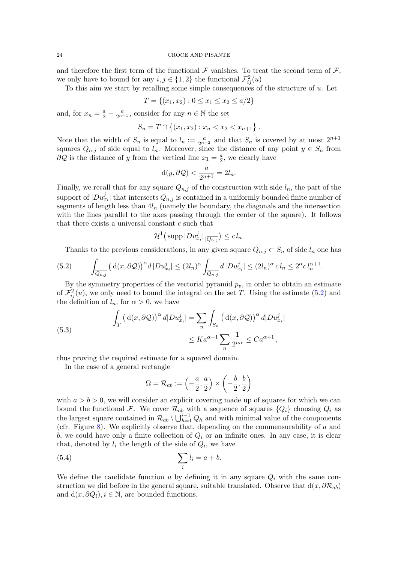and therefore the first term of the functional  $\mathcal F$  vanishes. To treat the second term of  $\mathcal F$ , we only have to bound for any  $i, j \in \{1, 2\}$  the functional  $\mathcal{F}_{ij}^2(u)$ 

To this aim we start by recalling some simple consequences of the structure of  $u$ . Let

$$
T = \{(x_1, x_2) : 0 \le x_1 \le x_2 \le a/2\}
$$

and, for  $x_n = \frac{a}{2} - \frac{a}{2^{n+1}}$ , consider for any  $n \in \mathbb{N}$  the set

$$
S_n = T \cap \{(x_1, x_2) : x_n < x_2 < x_{n+1}\}.
$$

Note that the width of  $S_n$  is equal to  $l_n := \frac{a}{2^{n+2}}$  and that  $S_n$  is covered by at most  $2^{n+1}$ squares  $Q_{n,j}$  of side equal to  $l_n$ . Moreover, since the distance of any point  $y \in S_n$  from  $\partial \mathcal{Q}$  is the distance of y from the vertical line  $x_1 = \frac{a}{2}$  $\frac{a}{2}$ , we clearly have

$$
d(y, \partial \mathcal{Q}) < \frac{a}{2^{n+1}} = 2l_n.
$$

Finally, we recall that for any square  $Q_{n,j}$  of the construction with side  $l_n$ , the part of the support of  $|Du^j_{x_i}|$  that intersects  $Q_{n,j}$  is contained in a uniformly bounded finite number of segments of length less than  $4l_n$  (namely the boundary, the diagonals and the intersection with the lines parallel to the axes passing through the center of the square). It follows that there exists a universal constant  $c$  such that

$$
\mathcal{H}^1\big(\operatorname{supp}|Du^j_{x_i}|\_{\overline{Q_{n,j}}}\big)\leq c\,l_n.
$$

<span id="page-23-0"></span>Thanks to the previous considerations, in any given square  $Q_{n,j} \subset S_n$  of side  $l_n$  one has

.

$$
(5.2) \qquad \int_{\overline{Q_{n,j}}} \left( d(x, \partial \mathcal{Q}) \right)^{\alpha} d|D u_{x_i}^j| \leq (2l_n)^{\alpha} \int_{\overline{Q_{n,j}}} d|D u_{x_i}^j| \leq (2l_n)^{\alpha} c l_n \leq 2^{\alpha} c l_n^{\alpha+1}
$$

By the symmetry properties of the vectorial pyramid  $p_v$ , in order to obtain an estimate of  $\mathcal{F}_{ij}^2(u)$ , we only need to bound the integral on the set T. Using the estimate [\(5.2\)](#page-23-0) and the definition of  $l_n$ , for  $\alpha > 0$ , we have

<span id="page-23-1"></span>(5.3)  

$$
\int_{T} \left( d(x, \partial \mathcal{Q}) \right)^{\alpha} d|D u_{x_{i}}^{j}| = \sum_{n} \int_{S_{n}} \left( d(x, \partial \mathcal{Q}) \right)^{\alpha} d|D u_{x_{i}}^{j}|
$$

$$
\leq K a^{\alpha+1} \sum_{n} \frac{1}{2^{n\alpha}} \leq C a^{\alpha+1},
$$

thus proving the required estimate for a squared domain.

In the case of a general rectangle

<span id="page-23-2"></span>
$$
\Omega = \mathcal{R}_{ab} := \left(-\frac{a}{2}, \frac{a}{2}\right) \times \left(-\frac{b}{2}, \frac{b}{2}\right)
$$

with  $a > b > 0$ , we will consider an explicit covering made up of squares for which we can bound the functional F. We cover  $\mathcal{R}_{ab}$  with a sequence of squares  $\{Q_i\}$  choosing  $Q_i$  as the largest square contained in  $\mathcal{R}_{ab} \setminus \bigcup_{h=1}^{i-1} Q_h$  and with minimal value of the components (cfr. Figure  $8$ ). We explicitly observe that, depending on the commensurability of  $a$  and b, we could have only a finite collection of  $Q_i$  or an infinite ones. In any case, it is clear that, denoted by  $l_i$  the length of the side of  $Q_i$ , we have

$$
(5.4) \qquad \qquad \sum_{i} l_i = a + b.
$$

We define the candidate function u by defining it in any square  $Q_i$  with the same construction we did before in the general square, suitable translated. Observe that  $d(x, \partial \mathcal{R}_{ab})$ and  $d(x, \partial Q_i), i \in \mathbb{N}$ , are bounded functions.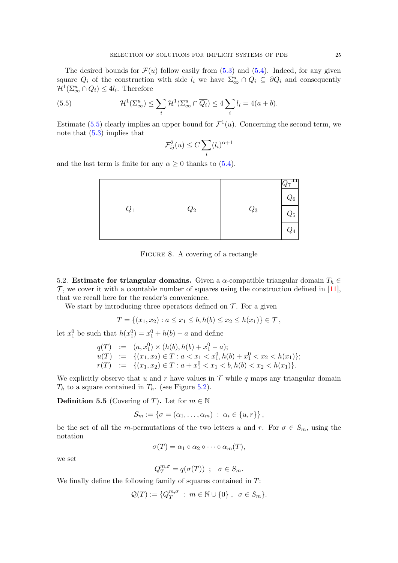<span id="page-24-3"></span>The desired bounds for  $\mathcal{F}(u)$  follow easily from  $(5.3)$  and  $(5.4)$ . Indeed, for any given square  $Q_i$  of the construction with side  $l_i$  we have  $\Sigma^u_\infty \cap \overline{Q_i} \subseteq \partial Q_i$  and consequently  $\mathcal{H}^1(\Sigma_\infty^u \cap \overline{Q_i}) \leq 4l_i$ . Therefore

(5.5) 
$$
\mathcal{H}^{1}(\Sigma_{\infty}^{u}) \leq \sum_{i} \mathcal{H}^{1}(\Sigma_{\infty}^{u} \cap \overline{Q_{i}}) \leq 4 \sum_{i} l_{i} = 4(a+b).
$$

Estimate [\(5.5\)](#page-24-1) clearly implies an upper bound for  $\mathcal{F}^1(u)$ . Concerning the second term, we note that [\(5.3\)](#page-23-1) implies that

<span id="page-24-1"></span>
$$
\mathcal{F}_{ij}^2(u) \le C \sum_i (l_i)^{\alpha+1}
$$

and the last term is finite for any  $\alpha \geq 0$  thanks to [\(5.4\)](#page-23-2).

| $Q_4$ | $Q_1$ | $\mathbb{Q}_2$ | $\mathbb{Q}_3$ | $Q_6$<br>$Q_5$ |
|-------|-------|----------------|----------------|----------------|
|-------|-------|----------------|----------------|----------------|

<span id="page-24-0"></span>FIGURE 8. A covering of a rectangle

<span id="page-24-2"></span>5.2. Estimate for triangular domains. Given a  $\alpha$ -compatible triangular domain  $T_h \in$  $\mathcal{T}$ , we cover it with a countable number of squares using the construction defined in [\[11\]](#page-27-12), that we recall here for the reader's convenience.

We start by introducing three operators defined on  $\mathcal T$ . For a given

$$
T = \{(x_1, x_2) : a \le x_1 \le b, h(b) \le x_2 \le h(x_1) \} \in \mathcal{T},
$$

let  $x_1^0$  be such that  $h(x_1^0) = x_1^0 + h(b) - a$  and define

$$
q(T) := (a, x_1^0) \times (h(b), h(b) + x_1^0 - a);
$$
  
\n
$$
u(T) := \{(x_1, x_2) \in T : a < x_1 < x_1^0, h(b) + x_1^0 < x_2 < h(x_1)\};
$$
  
\n
$$
r(T) := \{(x_1, x_2) \in T : a + x_1^0 < x_1 < b, h(b) < x_2 < h(x_1)\}.
$$

We explicitly observe that u and r have values in  $\mathcal T$  while q maps any triangular domain  $T_h$  to a square contained in  $T_h$ . (see Figure [5.2\)](#page-24-2).

**Definition 5.5** (Covering of T). Let for  $m \in \mathbb{N}$ 

$$
S_m := \{ \sigma = (\alpha_1, \ldots, \alpha_m) \; : \; \alpha_i \in \{u, r\} \},
$$

be the set of all the m-permutations of the two letters u and r. For  $\sigma \in S_m$ , using the notation

$$
\sigma(T) = \alpha_1 \circ \alpha_2 \circ \cdots \circ \alpha_m(T),
$$

we set

$$
Q_T^{m,\sigma} = q(\sigma(T)) \; ; \; \; \sigma \in S_m.
$$

We finally define the following family of squares contained in  $T$ :

$$
\mathcal{Q}(T) := \{Q_T^{m,\sigma} \; : \; m \in \mathbb{N} \cup \{0\} \; , \; \; \sigma \in S_m \}.
$$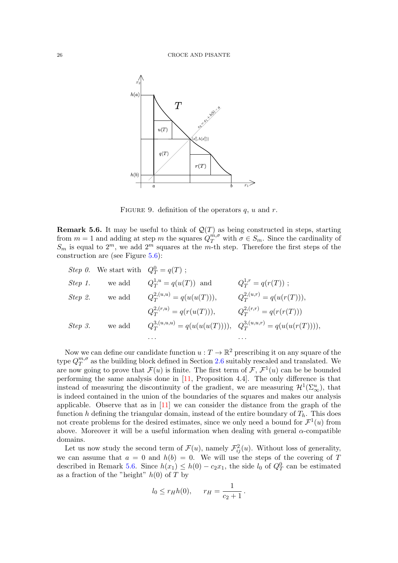<span id="page-25-1"></span>

FIGURE 9. definition of the operators  $q$ ,  $u$  and  $r$ .

<span id="page-25-0"></span>**Remark 5.6.** It may be useful to think of  $\mathcal{Q}(T)$  as being constructed in steps, starting from  $m = 1$  and adding at step m the squares  $Q_T^{m,\sigma}$  with  $\sigma \in S_m$ . Since the cardinality of  $S_m$  is equal to  $2^m$ , we add  $2^m$  squares at the m-th step. Therefore the first steps of the construction are (see Figure [5.6\)](#page-25-0):

|         | <i>Step 0.</i> We start with $Q_T^0 = q(T)$ ; |                                                                         |                               |
|---------|-----------------------------------------------|-------------------------------------------------------------------------|-------------------------------|
| Step 1. | we add                                        | $Q_T^{1,u} = q(u(T))$ and                                               | $Q_T^{1,r} = q(r(T))$ ;       |
| Step 2. | we add                                        | $Q_T^{2,(u,u)} = q(u(u(T))),$                                           | $Q_T^{2,(u,r)} = q(u(r(T))),$ |
|         |                                               | $Q_{\mathcal{T}}^{2,(r,u)} = q(r(u(T))),$                               | $Q_{T}^{2,(r,r)}=q(r(r(T)))$  |
| Step 3. | we add                                        | $Q_T^{3,(u,u,u)} = q(u(u(u(T))))$ , $Q_T^{3,(u,u,r)} = q(u(u(r(T))))$ , |                               |
|         |                                               | .                                                                       |                               |

Now we can define our candidate function  $u: T \to \mathbb{R}^2$  prescribing it on any square of the type  $Q_T^{m,\sigma}$  $T^{m,\sigma}_{T}$  as the building block defined in Section [2.6](#page-7-0) suitably rescaled and translated. We are now going to prove that  $\mathcal{F}(u)$  is finite. The first term of  $\mathcal{F}, \mathcal{F}^1(u)$  can be be bounded performing the same analysis done in [\[11,](#page-27-12) Proposition 4.4]. The only difference is that instead of measuring the discontinuity of the gradient, we are measuring  $\mathcal{H}^1(\Sigma_\infty^u)$ , that is indeed contained in the union of the boundaries of the squares and makes our analysis applicable. Observe that as in  $[11]$  we can consider the distance from the graph of the function h defining the triangular domain, instead of the entire boundary of  $T<sub>h</sub>$ . This does not create problems for the desired estimates, since we only need a bound for  $\mathcal{F}^1(u)$  from above. Moreover it will be a useful information when dealing with general  $\alpha$ -compatible domains.

Let us now study the second term of  $\mathcal{F}(u)$ , namely  $\mathcal{F}_{ij}^2(u)$ . Without loss of generality, we can assume that  $a = 0$  and  $h(b) = 0$ . We will use the steps of the covering of T described in Remark [5.6.](#page-25-0) Since  $h(x_1) \leq h(0) - c_2x_1$ , the side  $l_0$  of  $Q_T^0$  can be estimated as a fraction of the "height"  $h(0)$  of T by

$$
l_0 \le r_H h(0), \qquad r_H = \frac{1}{c_2 + 1}.
$$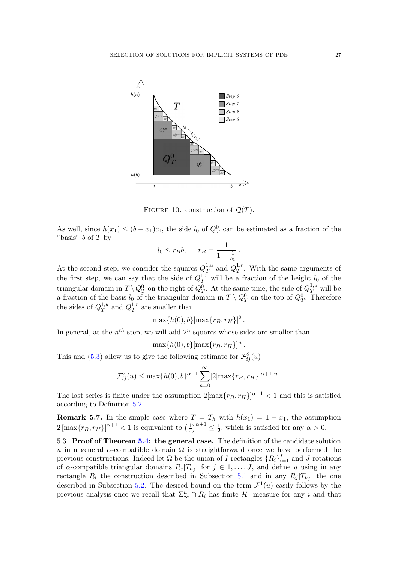

FIGURE 10. construction of  $\mathcal{Q}(T)$ .

As well, since  $h(x_1) \leq (b-x_1)c_1$ , the side  $l_0$  of  $Q_T^0$  can be estimated as a fraction of the "basis"  $b$  of  $T$  by

$$
l_0 \leq r_B b, \qquad r_B = \frac{1}{1 + \frac{1}{c_1}}.
$$

At the second step, we consider the squares  $Q_T^{1,u}$  $T^{\{1,u\}}$  and  $Q_T^{1,r}$  $T^{1,r}_{T}$ . With the same arguments of the first step, we can say that the side of  $Q_T^{1,r}$  will be a fraction of the height  $l_0$  of the triangular domain in  $T \setminus Q_T^0$  on the right of  $Q_T^0$ . At the same time, the side of  $Q_T^{1,u}$  will be a fraction of the basis  $l_0$  of the triangular domain in  $T \setminus Q_T^0$  on the top of  $Q_T^0$ . Therefore the sides of  $Q_T^{1,u}$  $T^{1,u}$  and  $Q_T^{1,r}$  $T^{\{1,r\}}$  are smaller than

$$
\max\{h(0),b\}[\max\{r_B,r_H\}]^2
$$

.

In general, at the  $n^{th}$  step, we will add  $2^n$  squares whose sides are smaller than

 $\max\{h(0), b\}[\max\{r_B, r_H\}]^n$ .

This and [\(5.3\)](#page-23-1) allow us to give the following estimate for  $\mathcal{F}_{ij}^2(u)$ 

$$
\mathcal{F}_{ij}^2(u) \le \max\{h(0),b\}^{\alpha+1} \sum_{n=0}^{\infty} [2[\max\{r_B, r_H\}]^{\alpha+1}]^n.
$$

The last series is finite under the assumption  $2[\max\{r_B, r_H\}]^{\alpha+1} < 1$  and this is satisfied according to Definition [5.2.](#page-21-0)

**Remark 5.7.** In the simple case where  $T = T_h$  with  $h(x_1) = 1 - x_1$ , the assumption  $2\left[\max\{r_B, r_H\}\right]^{\alpha+1} < 1$  is equivalent to  $\left(\frac{1}{2}\right)$  $(\frac{1}{2})^{\alpha+1} \leq \frac{1}{2}$  $\frac{1}{2}$ , which is satisfied for any  $\alpha > 0$ .

5.3. Proof of Theorem [5.4:](#page-22-0) the general case. The definition of the candidate solution u in a general  $\alpha$ -compatible domain  $\Omega$  is straightforward once we have performed the previous constructions. Indeed let  $\Omega$  be the union of I rectangles  $\{R_i\}_{i=1}^I$  and J rotations of  $\alpha$ -compatible triangular domains  $R_j[T_{h_j}]$  for  $j \in 1, \ldots, J$ , and define u using in any rectangle  $R_i$  the construction described in Subsection [5.1](#page-22-2) and in any  $R_j[T_{h_j}]$  the one described in Subsection [5.2.](#page-24-2) The desired bound on the term  $\mathcal{F}^1(u)$  easily follows by the previous analysis once we recall that  $\Sigma_{\infty}^u \cap \overline{R}_i$  has finite  $\mathcal{H}^1$ -measure for any i and that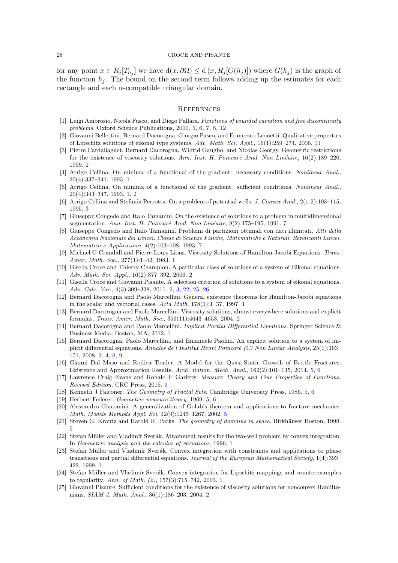for any point  $x \in R_j[T_{h_j}]$  we have  $d(x, \partial \Omega) \le d(x, R_j[G(h_j)])$  where  $G(h_j)$  is the graph of the function  $h_i$ . The bound on the second term follows adding up the estimates for each rectangle and each  $\alpha$ -compatible triangular domain.

## **REFERENCES**

- <span id="page-27-16"></span>[1] Luigi Ambrosio, Nicola Fusco, and Diego Pallara. Functions of bounded variation and free discontinuity problems. Oxford Science Publications, 2000. [5,](#page-4-4) [6,](#page-5-3) [7,](#page-6-0) [8,](#page-7-6) [12](#page-11-2)
- <span id="page-27-24"></span>[2] Giovanni Bellettini, Bernard Dacorogna, Giorgio Fusco, and Francesco Leonetti. Qualitative properties of Lipschitz solutions of eikonal type systems. Adv. Math. Sci. Appl., 16(1):259–274, 2006. [11](#page-10-5)
- <span id="page-27-8"></span>[3] Pierre Cardaliaguet, Bernard Dacorogna, Wilfrid Gangbo, and Nicolas Georgy. Geometric restrictions for the existence of viscosity solutions. Ann. Inst. H. Poincaré Anal. Non Linéaire, 16(2):189–220, 1999. [2](#page-1-1)
- <span id="page-27-2"></span>[4] Arrigo Cellina. On minima of a functional of the gradient: necessary conditions. Nonlinear Anal., 20(4):337–341, 1993. [1](#page-0-1)
- <span id="page-27-1"></span>[5] Arrigo Cellina. On minima of a functional of the gradient: sufficient conditions. Nonlinear Anal., 20(4):343–347, 1993. [1,](#page-0-1) [2](#page-1-1)
- <span id="page-27-13"></span>[6] Arrigo Cellina and Stefania Perrotta. On a problem of potential wells. J. Convex Anal., 2(1-2):103–115, 1995. [3](#page-2-3)
- <span id="page-27-22"></span>[7] Giuseppe Congedo and Italo Tamanini. On the existence of solutions to a problem in multidimensional segmentation. Ann. Inst. H. Poincaré Anal. Non Linéaire, 8(2):1[7](#page-6-0)5–195, 1991. 7
- <span id="page-27-23"></span>[8] Giuseppe Congedo and Italo Tamanini. Problemi di partizioni ottimali con dati illimitati. Atti della Accademia Nazionale dei Lincei. Classe di Scienze Fisiche, Matematiche e Naturali. Rendiconti Lincei. Matematica e Applicazioni, 4(2):103–108, 1993. [7](#page-6-0)
- <span id="page-27-0"></span>[9] Michael G Crandall and Pierre-Louis Lions. Viscosity Solutions of Hamilton-Jacobi Equations. Trans. Amer. Math. Soc., 277(1):1–42, 1983. [1](#page-0-1)
- <span id="page-27-11"></span>[10] Gisella Croce and Thierry Champion. A particular class of solutions of a system of Eikonal equations. Adv. Math. Sci. Appl., 16(2):377–392, 2006. [2](#page-1-1)
- <span id="page-27-12"></span>[11] Gisella Croce and Giovanni Pisante. A selection criterion of solutions to a system of eikonal equations. Adv. Calc. Var., 4(3):309–338, 2011. [2,](#page-1-1) [3,](#page-2-3) [22,](#page-21-4) [25,](#page-24-3) [26](#page-25-1)
- <span id="page-27-3"></span>[12] Bernard Dacorogna and Paolo Marcellini. General existence theorems for Hamilton-Jacobi equations in the scalar and vectorial cases. Acta Math, 178(1):1–37, 1997. [1](#page-0-1)
- <span id="page-27-10"></span>[13] Bernard Dacorogna and Paolo Marcellini. Viscosity solutions, almost everywhere solutions and explicit formulas. Trans. Amer. Math. Soc., 356(11):4643–4653, 2004. [2](#page-1-1)
- <span id="page-27-4"></span>[14] Bernard Dacorogna and Paolo Marcellini. Implicit Partial Differential Equations. Springer Science & Business Media, Boston, MA, 2012. [1](#page-0-1)
- <span id="page-27-14"></span>[15] Bernard Dacorogna, Paolo Marcellini, and Emanuele Paolini. An explicit solution to a system of implicit differential equations. Annales de l'Institut Henri Poincaré (C) Non Linear Analysis, 25(1):163– 171, 2008. [3,](#page-2-3) [4,](#page-3-0) [8,](#page-7-6) [9](#page-8-0)
- <span id="page-27-19"></span>[16] Gianni Dal Maso and Rodica Toader. A Model for the Quasi-Static Growth of Brittle Fractures: Existence and Approximation Results. Arch. Ration. Mech. Anal., 162(2):101–135, 2014. [5,](#page-4-4) [6](#page-5-3)
- <span id="page-27-21"></span>[17] Lawrence Craig Evans and Ronald F Gariepy. Measure Theory and Fine Properties of Functions, Revised Edition. CRC Press, 2015. [6](#page-5-3)
- <span id="page-27-18"></span>[18] Kenneth J Falconer. The Geometry of Fractal Sets. Cambridge University Press, 1986. [5,](#page-4-4) [6](#page-5-3)
- <span id="page-27-17"></span>[19] Herbert Federer. Geometric measure theory. 1969. [5,](#page-4-4) [6](#page-5-3)
- <span id="page-27-20"></span>[20] Alessandro Giacomini. A generalization of Golab's theorem and applications to fracture mechanics. Math. Models Methods Appl. Sci, 12(9):1245–1267, 2002. [5](#page-4-4)
- <span id="page-27-15"></span>[21] Steven G. Krantz and Harold R. Parks. The geometry of domains in space. Birkhäuser Boston, 1999. [5](#page-4-4)
- <span id="page-27-5"></span>[22] Stefan Müller and Vladimír Sverák. Attainment results for the two-well problem by convex integration. In Geometric analysis and the calculus of variations. 1996. [1](#page-0-1)
- <span id="page-27-6"></span>[23] Stefan Müller and Vladimír Sverák. Convex integration with constraints and applications to phase transitions and partial differential equations. Journal of the European Mathematical Society, 1(4):393– 422, 1999. [1](#page-0-1)
- <span id="page-27-7"></span>[24] Stefan Müller and Vladimír Sverák. Convex integration for Lipschitz mappings and counterexamples to regularity. Ann. of Math. (2), 157(3):715–742, 2003. [1](#page-0-1)
- <span id="page-27-9"></span>[25] Giovanni Pisante. Sufficient conditions for the existence of viscosity solutions for nonconvex Hamiltonians. SIAM J. Math. Anal., 36(1):186–203, 2004. [2](#page-1-1)